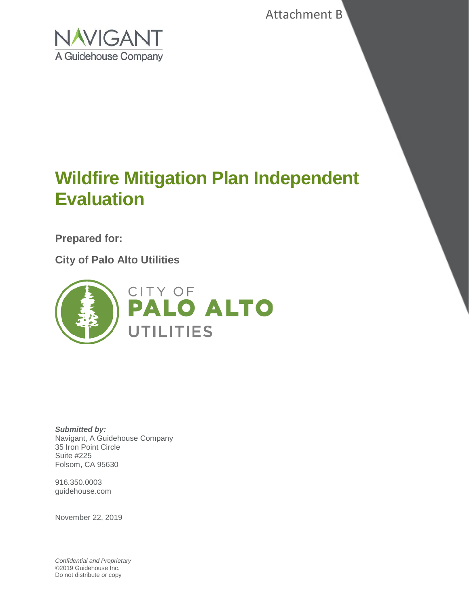Attachment B



# **Wildfire Mitigation Plan Independent Evaluation**

**Prepared for:**

**City of Palo Alto Utilities**



*Submitted by:* Navigant, A Guidehouse Company 35 Iron Point Circle Suite #225 Folsom, CA 95630

916.350.0003 guidehouse.com

November 22, 2019

*Confidential and Proprietary* ©2019 Guidehouse Inc. Do not distribute or copy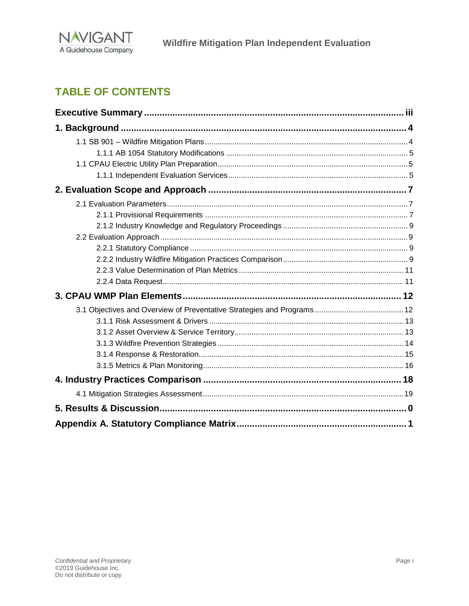

## **TABLE OF CONTENTS**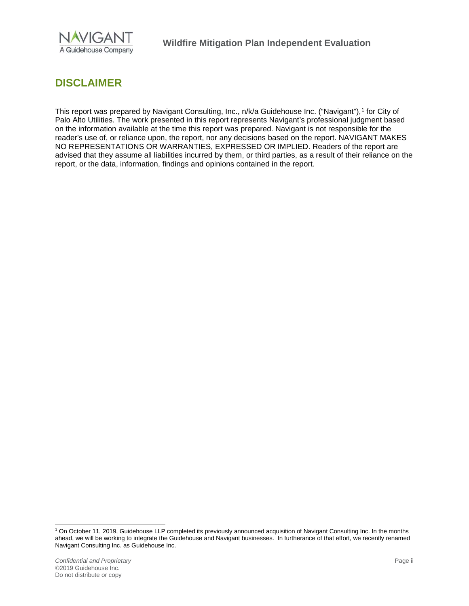

### **DISCLAIMER**

This report was prepared by Navigant Consulting, Inc., n/k/a Guidehouse Inc. ("Navigant"),<sup>[1](#page-2-0)</sup> for City of Palo Alto Utilities. The work presented in this report represents Navigant's professional judgment based on the information available at the time this report was prepared. Navigant is not responsible for the reader's use of, or reliance upon, the report, nor any decisions based on the report. NAVIGANT MAKES NO REPRESENTATIONS OR WARRANTIES, EXPRESSED OR IMPLIED. Readers of the report are advised that they assume all liabilities incurred by them, or third parties, as a result of their reliance on the report, or the data, information, findings and opinions contained in the report.

<span id="page-2-0"></span> <sup>1</sup> On October 11, 2019, Guidehouse LLP completed its previously announced acquisition of Navigant Consulting Inc. In the months ahead, we will be working to integrate the Guidehouse and Navigant businesses. In furtherance of that effort, we recently renamed Navigant Consulting Inc. as Guidehouse Inc.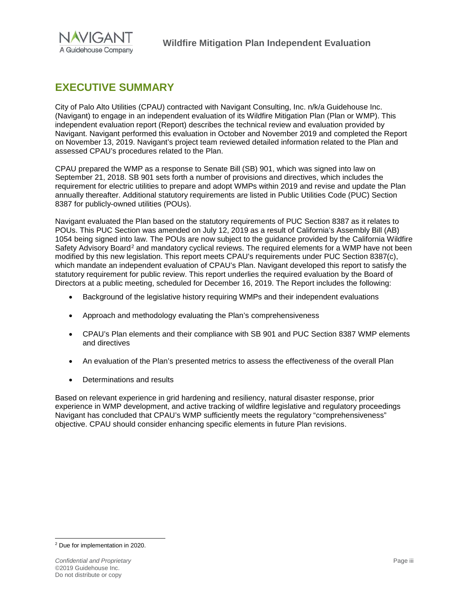

### <span id="page-3-0"></span>**EXECUTIVE SUMMARY**

City of Palo Alto Utilities (CPAU) contracted with Navigant Consulting, Inc. n/k/a Guidehouse Inc. (Navigant) to engage in an independent evaluation of its Wildfire Mitigation Plan (Plan or WMP). This independent evaluation report (Report) describes the technical review and evaluation provided by Navigant. Navigant performed this evaluation in October and November 2019 and completed the Report on November 13, 2019. Navigant's project team reviewed detailed information related to the Plan and assessed CPAU's procedures related to the Plan.

CPAU prepared the WMP as a response to Senate Bill (SB) 901, which was signed into law on September 21, 2018. SB 901 sets forth a number of provisions and directives, which includes the requirement for electric utilities to prepare and adopt WMPs within 2019 and revise and update the Plan annually thereafter. Additional statutory requirements are listed in Public Utilities Code (PUC) Section 8387 for publicly-owned utilities (POUs).

Navigant evaluated the Plan based on the statutory requirements of PUC Section 8387 as it relates to POUs. This PUC Section was amended on July 12, 2019 as a result of California's Assembly Bill (AB) 1054 being signed into law. The POUs are now subject to the guidance provided by the California Wildfire Safety Advisory Board<sup>[2](#page-3-1)</sup> and mandatory cyclical reviews. The required elements for a WMP have not been modified by this new legislation. This report meets CPAU's requirements under PUC Section 8387(c), which mandate an independent evaluation of CPAU's Plan. Navigant developed this report to satisfy the statutory requirement for public review. This report underlies the required evaluation by the Board of Directors at a public meeting, scheduled for December 16, 2019. The Report includes the following:

- Background of the legislative history requiring WMPs and their independent evaluations
- Approach and methodology evaluating the Plan's comprehensiveness
- CPAU's Plan elements and their compliance with SB 901 and PUC Section 8387 WMP elements and directives
- An evaluation of the Plan's presented metrics to assess the effectiveness of the overall Plan
- Determinations and results

Based on relevant experience in grid hardening and resiliency, natural disaster response, prior experience in WMP development, and active tracking of wildfire legislative and regulatory proceedings Navigant has concluded that CPAU's WMP sufficiently meets the regulatory "comprehensiveness" objective. CPAU should consider enhancing specific elements in future Plan revisions.

<span id="page-3-1"></span> <sup>2</sup> Due for implementation in 2020.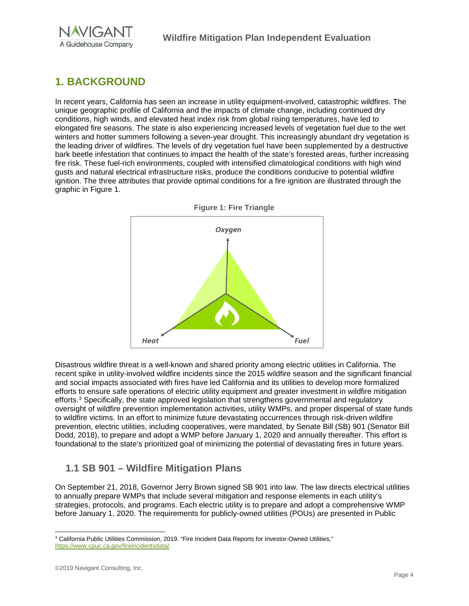

## <span id="page-4-0"></span>**1. BACKGROUND**

In recent years, California has seen an increase in utility equipment-involved, catastrophic wildfires. The unique geographic profile of California and the impacts of climate change, including continued dry conditions, high winds, and elevated heat index risk from global rising temperatures, have led to elongated fire seasons. The state is also experiencing increased levels of vegetation fuel due to the wet winters and hotter summers following a seven-year drought. This increasingly abundant dry vegetation is the leading driver of wildfires. The levels of dry vegetation fuel have been supplemented by a destructive bark beetle infestation that continues to impact the health of the state's forested areas, further increasing fire risk. These fuel-rich environments, coupled with intensified climatological conditions with high wind gusts and natural electrical infrastructure risks, produce the conditions conducive to potential wildfire ignition. The three attributes that provide optimal conditions for a fire ignition are illustrated through the graphic in [Figure 1.](#page-4-2)



<span id="page-4-2"></span>

Disastrous wildfire threat is a well-known and shared priority among electric utilities in California. The recent spike in utility-involved wildfire incidents since the 2015 wildfire season and the significant financial and social impacts associated with fires have led California and its utilities to develop more formalized efforts to ensure safe operations of electric utility equipment and greater investment in wildfire mitigation efforts.[3](#page-4-3) Specifically, the state approved legislation that strengthens governmental and regulatory oversight of wildfire prevention implementation activities, utility WMPs, and proper dispersal of state funds to wildfire victims. In an effort to minimize future devastating occurrences through risk-driven wildfire prevention, electric utilities, including cooperatives, were mandated, by Senate Bill (SB) 901 (Senator Bill Dodd, 2018), to prepare and adopt a WMP before January 1, 2020 and annually thereafter. This effort is foundational to the state's prioritized goal of minimizing the potential of devastating fires in future years.

### <span id="page-4-1"></span>**1.1 SB 901 – Wildfire Mitigation Plans**

On September 21, 2018, Governor Jerry Brown signed SB 901 into law. The law directs electrical utilities to annually prepare WMPs that include several mitigation and response elements in each utility's strategies, protocols, and programs. Each electric utility is to prepare and adopt a comprehensive WMP before January 1, 2020. The requirements for publicly-owned utilities (POUs) are presented in Public

<span id="page-4-3"></span><sup>&</sup>lt;sup>3</sup> California Public Utilities Commission, 2019. "Fire Incident Data Reports for Investor-Owned Utilities," [https://www.cpuc.ca.gov/fireincidentsdata/.](https://www.cpuc.ca.gov/fireincidentsdata/)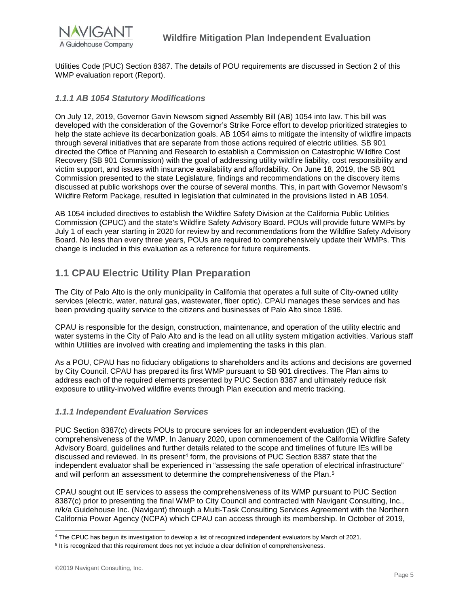

Utilities Code (PUC) Section 8387. The details of POU requirements are discussed in Section 2 of this WMP evaluation report (Report).

#### <span id="page-5-0"></span>*1.1.1 AB 1054 Statutory Modifications*

On July 12, 2019, Governor Gavin Newsom signed Assembly Bill (AB) 1054 into law. This bill was developed with the consideration of the Governor's Strike Force effort to develop prioritized strategies to help the state achieve its decarbonization goals. AB 1054 aims to mitigate the intensity of wildfire impacts through several initiatives that are separate from those actions required of electric utilities. SB 901 directed the Office of Planning and Research to establish a Commission on Catastrophic Wildfire Cost Recovery (SB 901 Commission) with the goal of addressing utility wildfire liability, cost responsibility and victim support, and issues with insurance availability and affordability. On June 18, 2019, the SB 901 Commission presented to the state Legislature, findings and recommendations on the discovery items discussed at public workshops over the course of several months. This, in part with Governor Newsom's Wildfire Reform Package, resulted in legislation that culminated in the provisions listed in AB 1054.

AB 1054 included directives to establish the Wildfire Safety Division at the California Public Utilities Commission (CPUC) and the state's Wildfire Safety Advisory Board. POUs will provide future WMPs by July 1 of each year starting in 2020 for review by and recommendations from the Wildfire Safety Advisory Board. No less than every three years, POUs are required to comprehensively update their WMPs. This change is included in this evaluation as a reference for future requirements.

### <span id="page-5-1"></span>**1.1 CPAU Electric Utility Plan Preparation**

The City of Palo Alto is the only municipality in California that operates a full suite of City-owned utility services (electric, water, natural gas, wastewater, fiber optic). CPAU manages these services and has been providing quality service to the citizens and businesses of Palo Alto since 1896.

CPAU is responsible for the design, construction, maintenance, and operation of the utility electric and water systems in the City of Palo Alto and is the lead on all utility system mitigation activities. Various staff within Utilities are involved with creating and implementing the tasks in this plan.

As a POU, CPAU has no fiduciary obligations to shareholders and its actions and decisions are governed by City Council. CPAU has prepared its first WMP pursuant to SB 901 directives. The Plan aims to address each of the required elements presented by PUC Section 8387 and ultimately reduce risk exposure to utility-involved wildfire events through Plan execution and metric tracking.

#### <span id="page-5-2"></span>*1.1.1 Independent Evaluation Services*

PUC Section 8387(c) directs POUs to procure services for an independent evaluation (IE) of the comprehensiveness of the WMP. In January 2020, upon commencement of the California Wildfire Safety Advisory Board, guidelines and further details related to the scope and timelines of future IEs will be discussed and reviewed. In its present<sup>[4](#page-5-3)</sup> form, the provisions of PUC Section 8387 state that the independent evaluator shall be experienced in "assessing the safe operation of electrical infrastructure" and will perform an assessment to determine the comprehensiveness of the Plan.<sup>[5](#page-5-4)</sup>

CPAU sought out IE services to assess the comprehensiveness of its WMP pursuant to PUC Section 8387(c) prior to presenting the final WMP to City Council and contracted with Navigant Consulting, Inc., n/k/a Guidehouse Inc. (Navigant) through a Multi-Task Consulting Services Agreement with the Northern California Power Agency (NCPA) which CPAU can access through its membership. In October of 2019,

<span id="page-5-3"></span> <sup>4</sup> The CPUC has begun its investigation to develop <sup>a</sup> list of recognized independent evaluators by March of 2021.

<span id="page-5-4"></span><sup>&</sup>lt;sup>5</sup> It is recognized that this requirement does not yet include a clear definition of comprehensiveness.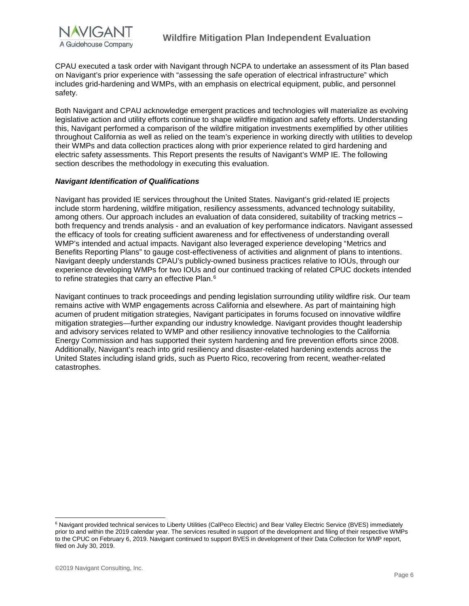

CPAU executed a task order with Navigant through NCPA to undertake an assessment of its Plan based on Navigant's prior experience with "assessing the safe operation of electrical infrastructure" which includes grid-hardening and WMPs, with an emphasis on electrical equipment, public, and personnel safety.

Both Navigant and CPAU acknowledge emergent practices and technologies will materialize as evolving legislative action and utility efforts continue to shape wildfire mitigation and safety efforts. Understanding this, Navigant performed a comparison of the wildfire mitigation investments exemplified by other utilities throughout California as well as relied on the team's experience in working directly with utilities to develop their WMPs and data collection practices along with prior experience related to gird hardening and electric safety assessments. This Report presents the results of Navigant's WMP IE. The following section describes the methodology in executing this evaluation.

#### *Navigant Identification of Qualifications*

Navigant has provided IE services throughout the United States. Navigant's grid-related IE projects include storm hardening, wildfire mitigation, resiliency assessments, advanced technology suitability, among others. Our approach includes an evaluation of data considered, suitability of tracking metrics – both frequency and trends analysis - and an evaluation of key performance indicators. Navigant assessed the efficacy of tools for creating sufficient awareness and for effectiveness of understanding overall WMP's intended and actual impacts. Navigant also leveraged experience developing "Metrics and Benefits Reporting Plans" to gauge cost-effectiveness of activities and alignment of plans to intentions. Navigant deeply understands CPAU's publicly-owned business practices relative to IOUs, through our experience developing WMPs for two IOUs and our continued tracking of related CPUC dockets intended to refine strategies that carry an effective Plan.<sup>[6](#page-6-0)</sup>

Navigant continues to track proceedings and pending legislation surrounding utility wildfire risk. Our team remains active with WMP engagements across California and elsewhere. As part of maintaining high acumen of prudent mitigation strategies, Navigant participates in forums focused on innovative wildfire mitigation strategies—further expanding our industry knowledge. Navigant provides thought leadership and advisory services related to WMP and other resiliency innovative technologies to the California Energy Commission and has supported their system hardening and fire prevention efforts since 2008. Additionally, Navigant's reach into grid resiliency and disaster-related hardening extends across the United States including island grids, such as Puerto Rico, recovering from recent, weather-related catastrophes.

<span id="page-6-0"></span><sup>&</sup>lt;sup>6</sup> Navigant provided technical services to Liberty Utilities (CalPeco Electric) and Bear Valley Electric Service (BVES) immediately prior to and within the 2019 calendar year. The services resulted in support of the development and filing of their respective WMPs to the CPUC on February 6, 2019. Navigant continued to support BVES in development of their Data Collection for WMP report, filed on July 30, 2019.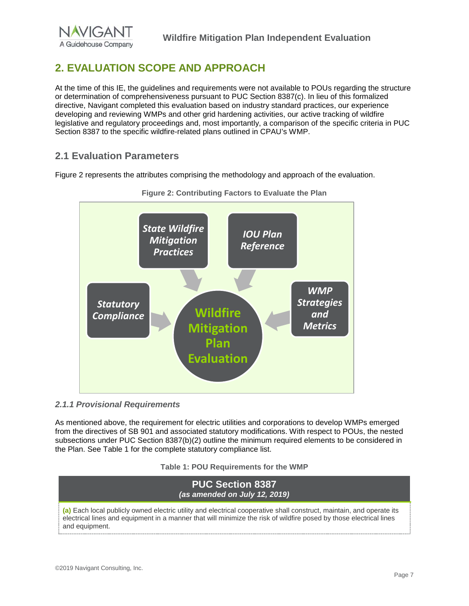## <span id="page-7-0"></span>**2. EVALUATION SCOPE AND APPROACH**

At the time of this IE, the guidelines and requirements were not available to POUs regarding the structure or determination of comprehensiveness pursuant to PUC Section 8387(c). In lieu of this formalized directive, Navigant completed this evaluation based on industry standard practices, our experience developing and reviewing WMPs and other grid hardening activities, our active tracking of wildfire legislative and regulatory proceedings and, most importantly, a comparison of the specific criteria in PUC Section 8387 to the specific wildfire-related plans outlined in CPAU's WMP.

### <span id="page-7-1"></span>**2.1 Evaluation Parameters**

Figure 2 represents the attributes comprising the methodology and approach of the evaluation.



**Figure 2: Contributing Factors to Evaluate the Plan**

#### <span id="page-7-2"></span>*2.1.1 Provisional Requirements*

As mentioned above, the requirement for electric utilities and corporations to develop WMPs emerged from the directives of SB 901 and associated statutory modifications. With respect to POUs, the nested subsections under PUC Section 8387(b)(2) outline the minimum required elements to be considered in the Plan. See Table 1 for the complete statutory compliance list.

#### **Table 1: POU Requirements for the WMP**

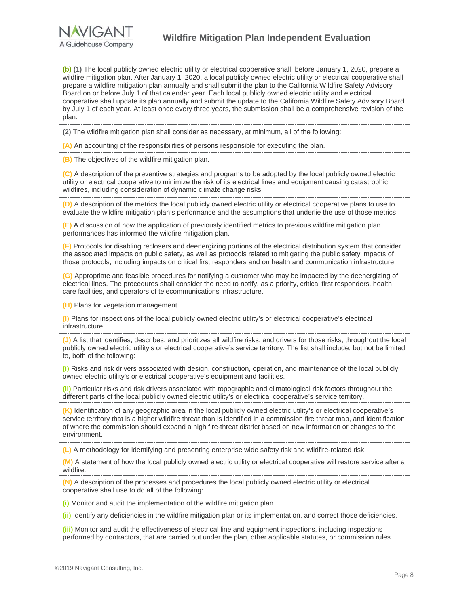**(b) (1)** The local publicly owned electric utility or electrical cooperative shall, before January 1, 2020, prepare a wildfire mitigation plan. After January 1, 2020, a local publicly owned electric utility or electrical cooperative shall prepare a wildfire mitigation plan annually and shall submit the plan to the California Wildfire Safety Advisory Board on or before July 1 of that calendar year. Each local publicly owned electric utility and electrical cooperative shall update its plan annually and submit the update to the California Wildfire Safety Advisory Board by July 1 of each year. At least once every three years, the submission shall be a comprehensive revision of the plan.

**(2)** The wildfire mitigation plan shall consider as necessary, at minimum, all of the following:

**(A)** An accounting of the responsibilities of persons responsible for executing the plan.

**(B)** The objectives of the wildfire mitigation plan.

**(C)** A description of the preventive strategies and programs to be adopted by the local publicly owned electric utility or electrical cooperative to minimize the risk of its electrical lines and equipment causing catastrophic wildfires, including consideration of dynamic climate change risks.

**(D)** A description of the metrics the local publicly owned electric utility or electrical cooperative plans to use to evaluate the wildfire mitigation plan's performance and the assumptions that underlie the use of those metrics.

**(E)** A discussion of how the application of previously identified metrics to previous wildfire mitigation plan performances has informed the wildfire mitigation plan.

**(F)** Protocols for disabling reclosers and deenergizing portions of the electrical distribution system that consider the associated impacts on public safety, as well as protocols related to mitigating the public safety impacts of those protocols, including impacts on critical first responders and on health and communication infrastructure.

**(G)** Appropriate and feasible procedures for notifying a customer who may be impacted by the deenergizing of electrical lines. The procedures shall consider the need to notify, as a priority, critical first responders, health care facilities, and operators of telecommunications infrastructure.

**(H)** Plans for vegetation management.

**(I)** Plans for inspections of the local publicly owned electric utility's or electrical cooperative's electrical infrastructure.

**(J)** A list that identifies, describes, and prioritizes all wildfire risks, and drivers for those risks, throughout the local publicly owned electric utility's or electrical cooperative's service territory. The list shall include, but not be limited to, both of the following:

**(i)** Risks and risk drivers associated with design, construction, operation, and maintenance of the local publicly owned electric utility's or electrical cooperative's equipment and facilities.

**(ii)** Particular risks and risk drivers associated with topographic and climatological risk factors throughout the different parts of the local publicly owned electric utility's or electrical cooperative's service territory.

**(K)** Identification of any geographic area in the local publicly owned electric utility's or electrical cooperative's service territory that is a higher wildfire threat than is identified in a commission fire threat map, and identification of where the commission should expand a high fire-threat district based on new information or changes to the environment.

**(L)** A methodology for identifying and presenting enterprise wide safety risk and wildfire-related risk.

**(M)** A statement of how the local publicly owned electric utility or electrical cooperative will restore service after a wildfire.

**(N)** A description of the processes and procedures the local publicly owned electric utility or electrical cooperative shall use to do all of the following:

**(i)** Monitor and audit the implementation of the wildfire mitigation plan.

**(ii)** Identify any deficiencies in the wildfire mitigation plan or its implementation, and correct those deficiencies.

**(iii)** Monitor and audit the effectiveness of electrical line and equipment inspections, including inspections performed by contractors, that are carried out under the plan, other applicable statutes, or commission rules.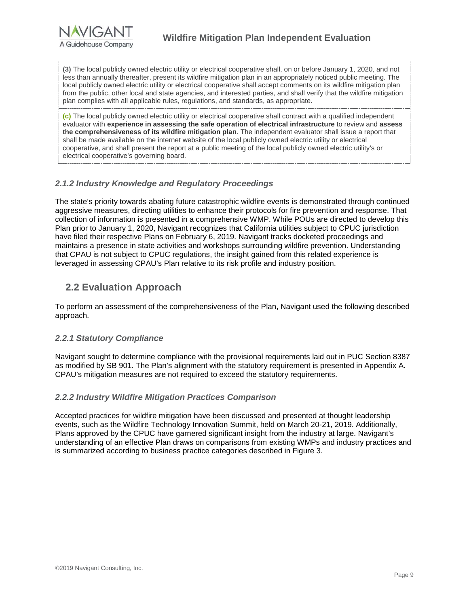**(3)** The local publicly owned electric utility or electrical cooperative shall, on or before January 1, 2020, and not less than annually thereafter, present its wildfire mitigation plan in an appropriately noticed public meeting. The local publicly owned electric utility or electrical cooperative shall accept comments on its wildfire mitigation plan from the public, other local and state agencies, and interested parties, and shall verify that the wildfire mitigation plan complies with all applicable rules, regulations, and standards, as appropriate.

**(c)** The local publicly owned electric utility or electrical cooperative shall contract with a qualified independent evaluator with **experience in assessing the safe operation of electrical infrastructure** to review and **assess the comprehensiveness of its wildfire mitigation plan**. The independent evaluator shall issue a report that shall be made available on the internet website of the local publicly owned electric utility or electrical cooperative, and shall present the report at a public meeting of the local publicly owned electric utility's or electrical cooperative's governing board.

#### <span id="page-9-0"></span>*2.1.2 Industry Knowledge and Regulatory Proceedings*

The state's priority towards abating future catastrophic wildfire events is demonstrated through continued aggressive measures, directing utilities to enhance their protocols for fire prevention and response. That collection of information is presented in a comprehensive WMP. While POUs are directed to develop this Plan prior to January 1, 2020, Navigant recognizes that California utilities subject to CPUC jurisdiction have filed their respective Plans on February 6, 2019. Navigant tracks docketed proceedings and maintains a presence in state activities and workshops surrounding wildfire prevention. Understanding that CPAU is not subject to CPUC regulations, the insight gained from this related experience is leveraged in assessing CPAU's Plan relative to its risk profile and industry position.

### <span id="page-9-1"></span>**2.2 Evaluation Approach**

To perform an assessment of the comprehensiveness of the Plan, Navigant used the following described approach.

#### <span id="page-9-2"></span>*2.2.1 Statutory Compliance*

Navigant sought to determine compliance with the provisional requirements laid out in PUC Section 8387 as modified by SB 901. The Plan's alignment with the statutory requirement is presented in Appendix A. CPAU's mitigation measures are not required to exceed the statutory requirements.

#### <span id="page-9-3"></span>*2.2.2 Industry Wildfire Mitigation Practices Comparison*

Accepted practices for wildfire mitigation have been discussed and presented at thought leadership events, such as the Wildfire Technology Innovation Summit, held on March 20-21, 2019. Additionally, Plans approved by the CPUC have garnered significant insight from the industry at large. Navigant's understanding of an effective Plan draws on comparisons from existing WMPs and industry practices and is summarized according to business practice categories described in [Figure 3.](#page-10-0)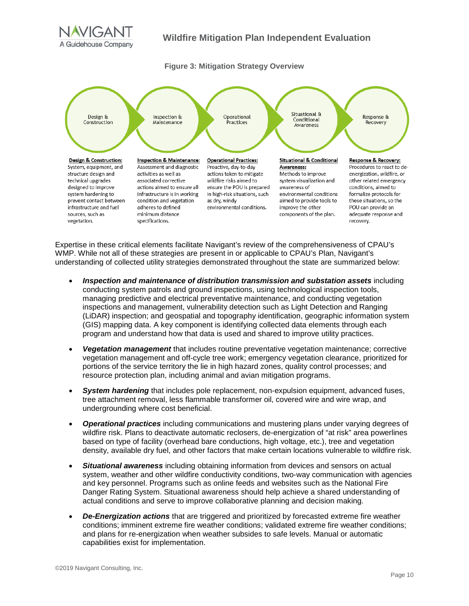

#### **Figure 3: Mitigation Strategy Overview**

<span id="page-10-0"></span>

Expertise in these critical elements facilitate Navigant's review of the comprehensiveness of CPAU's WMP. While not all of these strategies are present in or applicable to CPAU's Plan, Navigant's understanding of collected utility strategies demonstrated throughout the state are summarized below:

- *Inspection and maintenance of distribution transmission and substation assets* including conducting system patrols and ground inspections, using technological inspection tools, managing predictive and electrical preventative maintenance, and conducting vegetation inspections and management, vulnerability detection such as Light Detection and Ranging (LiDAR) inspection; and geospatial and topography identification, geographic information system (GIS) mapping data. A key component is identifying collected data elements through each program and understand how that data is used and shared to improve utility practices.
- *Vegetation management* that includes routine preventative vegetation maintenance; corrective vegetation management and off-cycle tree work; emergency vegetation clearance, prioritized for portions of the service territory the lie in high hazard zones, quality control processes; and resource protection plan, including animal and avian mitigation programs.
- *System hardening* that includes pole replacement, non-expulsion equipment, advanced fuses, tree attachment removal, less flammable transformer oil, covered wire and wire wrap, and undergrounding where cost beneficial.
- *Operational practices* including communications and mustering plans under varying degrees of wildfire risk. Plans to deactivate automatic reclosers, de-energization of "at risk" area powerlines based on type of facility (overhead bare conductions, high voltage, etc.), tree and vegetation density, available dry fuel, and other factors that make certain locations vulnerable to wildfire risk.
- *Situational awareness* including obtaining information from devices and sensors on actual system, weather and other wildfire conductivity conditions, two-way communication with agencies and key personnel. Programs such as online feeds and websites such as the National Fire Danger Rating System. Situational awareness should help achieve a shared understanding of actual conditions and serve to improve collaborative planning and decision making.
- *De-Energization actions* that are triggered and prioritized by forecasted extreme fire weather conditions; imminent extreme fire weather conditions; validated extreme fire weather conditions; and plans for re-energization when weather subsides to safe levels. Manual or automatic capabilities exist for implementation.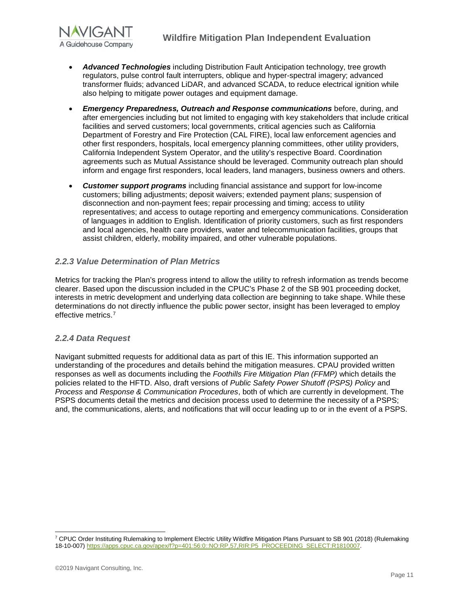

- *Advanced Technologies* including Distribution Fault Anticipation technology, tree growth regulators, pulse control fault interrupters, oblique and hyper-spectral imagery; advanced transformer fluids; advanced LiDAR, and advanced SCADA, to reduce electrical ignition while also helping to mitigate power outages and equipment damage.
- *Emergency Preparedness, Outreach and Response communications* before, during, and after emergencies including but not limited to engaging with key stakeholders that include critical facilities and served customers; local governments, critical agencies such as California Department of Forestry and Fire Protection (CAL FIRE), local law enforcement agencies and other first responders, hospitals, local emergency planning committees, other utility providers, California Independent System Operator, and the utility's respective Board. Coordination agreements such as Mutual Assistance should be leveraged. Community outreach plan should inform and engage first responders, local leaders, land managers, business owners and others.
- *Customer support programs* including financial assistance and support for low-income customers; billing adjustments; deposit waivers; extended payment plans; suspension of disconnection and non-payment fees; repair processing and timing; access to utility representatives; and access to outage reporting and emergency communications. Consideration of languages in addition to English. Identification of priority customers, such as first responders and local agencies, health care providers, water and telecommunication facilities, groups that assist children, elderly, mobility impaired, and other vulnerable populations.

#### <span id="page-11-0"></span>*2.2.3 Value Determination of Plan Metrics*

Metrics for tracking the Plan's progress intend to allow the utility to refresh information as trends become clearer. Based upon the discussion included in the CPUC's Phase 2 of the SB 901 proceeding docket, interests in metric development and underlying data collection are beginning to take shape. While these determinations do not directly influence the public power sector, insight has been leveraged to employ effective metrics[.7](#page-11-2)

#### <span id="page-11-1"></span>*2.2.4 Data Request*

Navigant submitted requests for additional data as part of this IE. This information supported an understanding of the procedures and details behind the mitigation measures. CPAU provided written responses as well as documents including the *Foothills Fire Mitigation Plan (FFMP)* which details the policies related to the HFTD. Also, draft versions of *Public Safety Power Shutoff (PSPS) Policy* and *Process* and *Response & Communication Procedures*, both of which are currently in development. The PSPS documents detail the metrics and decision process used to determine the necessity of a PSPS; and, the communications, alerts, and notifications that will occur leading up to or in the event of a PSPS.

<span id="page-11-2"></span> <sup>7</sup> CPUC Order Instituting Rulemaking to Implement Electric Utility Wildfire Mitigation Plans Pursuant to SB 901 (2018) (Rulemaking 18-10-007[\) https://apps.cpuc.ca.gov/apex/f?p=401:56:0::NO:RP,57,RIR:P5\\_PROCEEDING\\_SELECT:R1810007.](https://apps.cpuc.ca.gov/apex/f?p=401:56:0::NO:RP,57,RIR:P5_PROCEEDING_SELECT:R1810007)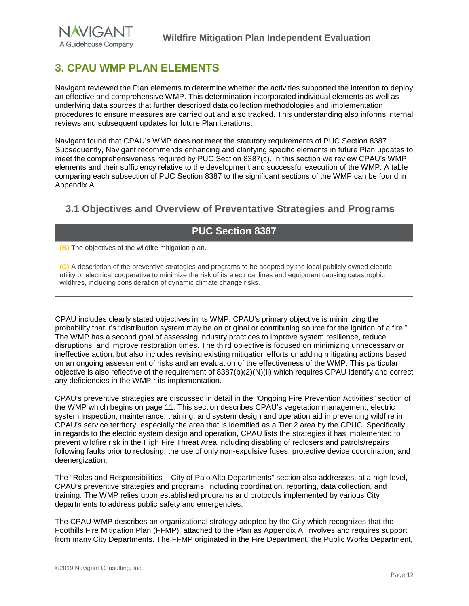## <span id="page-12-0"></span>**3. CPAU WMP PLAN ELEMENTS**

Navigant reviewed the Plan elements to determine whether the activities supported the intention to deploy an effective and comprehensive WMP. This determination incorporated individual elements as well as underlying data sources that further described data collection methodologies and implementation procedures to ensure measures are carried out and also tracked. This understanding also informs internal reviews and subsequent updates for future Plan iterations.

Navigant found that CPAU's WMP does not meet the statutory requirements of PUC Section 8387. Subsequently, Navigant recommends enhancing and clarifying specific elements in future Plan updates to meet the comprehensiveness required by PUC Section 8387(c). In this section we review CPAU's WMP elements and their sufficiency relative to the development and successful execution of the WMP. A table comparing each subsection of PUC Section 8387 to the significant sections of the WMP can be found in Appendix A.

### <span id="page-12-1"></span>**3.1 Objectives and Overview of Preventative Strategies and Programs**

### **PUC Section 8387**

**(B)** The objectives of the wildfire mitigation plan.

**(C)** A description of the preventive strategies and programs to be adopted by the local publicly owned electric utility or electrical cooperative to minimize the risk of its electrical lines and equipment causing catastrophic wildfires, including consideration of dynamic climate change risks.

CPAU includes clearly stated objectives in its WMP. CPAU's primary objective is minimizing the probability that it's "distribution system may be an original or contributing source for the ignition of a fire." The WMP has a second goal of assessing industry practices to improve system resilience, reduce disruptions, and improve restoration times. The third objective is focused on minimizing unnecessary or ineffective action, but also includes revising existing mitigation efforts or adding mitigating actions based on an ongoing assessment of risks and an evaluation of the effectiveness of the WMP. This particular objective is also reflective of the requirement of 8387(b)(2)(N)(ii) which requires CPAU identify and correct any deficiencies in the WMP r its implementation.

CPAU's preventive strategies are discussed in detail in the "Ongoing Fire Prevention Activities" section of the WMP which begins on page 11. This section describes CPAU's vegetation management, electric system inspection, maintenance, training, and system design and operation aid in preventing wildfire in CPAU's service territory, especially the area that is identified as a Tier 2 area by the CPUC. Specifically, in regards to the electric system design and operation, CPAU lists the strategies it has implemented to prevent wildfire risk in the High Fire Threat Area including disabling of reclosers and patrols/repairs following faults prior to reclosing, the use of only non-expulsive fuses, protective device coordination, and deenergization.

The "Roles and Responsibilities – City of Palo Alto Departments" section also addresses, at a high level, CPAU's preventive strategies and programs, including coordination, reporting, data collection, and training. The WMP relies upon established programs and protocols implemented by various City departments to address public safety and emergencies.

The CPAU WMP describes an organizational strategy adopted by the City which recognizes that the Foothills Fire Mitigation Plan (FFMP), attached to the Plan as Appendix A, involves and requires support from many City Departments. The FFMP originated in the Fire Department, the Public Works Department,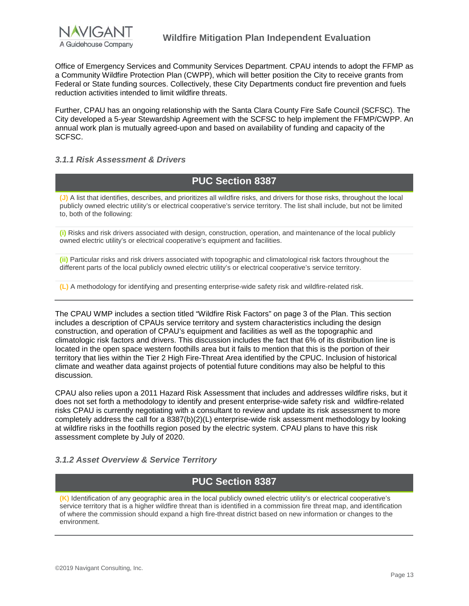

Office of Emergency Services and Community Services Department. CPAU intends to adopt the FFMP as a Community Wildfire Protection Plan (CWPP), which will better position the City to receive grants from Federal or State funding sources. Collectively, these City Departments conduct fire prevention and fuels reduction activities intended to limit wildfire threats.

Further, CPAU has an ongoing relationship with the Santa Clara County Fire Safe Council (SCFSC). The City developed a 5-year Stewardship Agreement with the SCFSC to help implement the FFMP/CWPP. An annual work plan is mutually agreed-upon and based on availability of funding and capacity of the SCFSC.

#### <span id="page-13-0"></span>*3.1.1 Risk Assessment & Drivers*

### **PUC Section 8387**

**(J)** A list that identifies, describes, and prioritizes all wildfire risks, and drivers for those risks, throughout the local publicly owned electric utility's or electrical cooperative's service territory. The list shall include, but not be limited to, both of the following:

**(i)** Risks and risk drivers associated with design, construction, operation, and maintenance of the local publicly owned electric utility's or electrical cooperative's equipment and facilities.

**(ii)** Particular risks and risk drivers associated with topographic and climatological risk factors throughout the different parts of the local publicly owned electric utility's or electrical cooperative's service territory.

**(L)** A methodology for identifying and presenting enterprise-wide safety risk and wildfire-related risk.

The CPAU WMP includes a section titled "Wildfire Risk Factors" on page 3 of the Plan. This section includes a description of CPAUs service territory and system characteristics including the design construction, and operation of CPAU's equipment and facilities as well as the topographic and climatologic risk factors and drivers. This discussion includes the fact that 6% of its distribution line is located in the open space western foothills area but it fails to mention that this is the portion of their territory that lies within the Tier 2 High Fire-Threat Area identified by the CPUC. Inclusion of historical climate and weather data against projects of potential future conditions may also be helpful to this discussion.

CPAU also relies upon a 2011 Hazard Risk Assessment that includes and addresses wildfire risks, but it does not set forth a methodology to identify and present enterprise-wide safety risk and wildfire-related risks CPAU is currently negotiating with a consultant to review and update its risk assessment to more completely address the call for a 8387(b)(2)(L) enterprise-wide risk assessment methodology by looking at wildfire risks in the foothills region posed by the electric system. CPAU plans to have this risk assessment complete by July of 2020.

#### <span id="page-13-1"></span>*3.1.2 Asset Overview & Service Territory*

### **PUC Section 8387**

**(K)** Identification of any geographic area in the local publicly owned electric utility's or electrical cooperative's service territory that is a higher wildfire threat than is identified in a commission fire threat map, and identification of where the commission should expand a high fire-threat district based on new information or changes to the environment.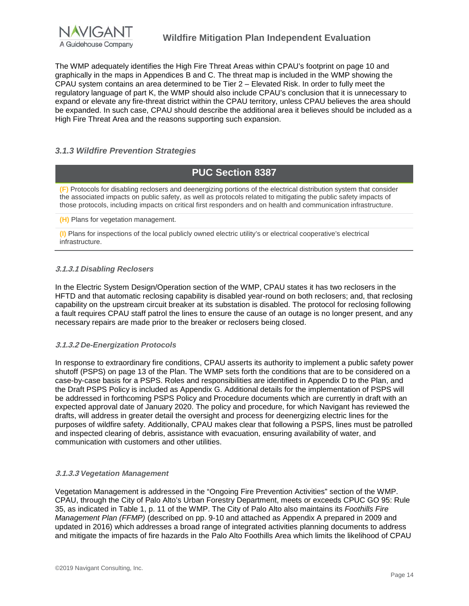

The WMP adequately identifies the High Fire Threat Areas within CPAU's footprint on page 10 and graphically in the maps in Appendices B and C. The threat map is included in the WMP showing the CPAU system contains an area determined to be Tier 2 – Elevated Risk. In order to fully meet the regulatory language of part K, the WMP should also include CPAU's conclusion that it is unnecessary to expand or elevate any fire-threat district within the CPAU territory, unless CPAU believes the area should be expanded. In such case, CPAU should describe the additional area it believes should be included as a High Fire Threat Area and the reasons supporting such expansion.

#### <span id="page-14-0"></span>*3.1.3 Wildfire Prevention Strategies*

### **PUC Section 8387**

**(F)** Protocols for disabling reclosers and deenergizing portions of the electrical distribution system that consider the associated impacts on public safety, as well as protocols related to mitigating the public safety impacts of those protocols, including impacts on critical first responders and on health and communication infrastructure.

**(H)** Plans for vegetation management.

**(I)** Plans for inspections of the local publicly owned electric utility's or electrical cooperative's electrical infrastructure.

#### **3.1.3.1** *Disabling Reclosers*

In the Electric System Design/Operation section of the WMP, CPAU states it has two reclosers in the HFTD and that automatic reclosing capability is disabled year-round on both reclosers; and, that reclosing capability on the upstream circuit breaker at its substation is disabled. The protocol for reclosing following a fault requires CPAU staff patrol the lines to ensure the cause of an outage is no longer present, and any necessary repairs are made prior to the breaker or reclosers being closed.

#### **3.1.3.2** *De-Energization Protocols*

In response to extraordinary fire conditions, CPAU asserts its authority to implement a public safety power shutoff (PSPS) on page 13 of the Plan. The WMP sets forth the conditions that are to be considered on a case-by-case basis for a PSPS. Roles and responsibilities are identified in Appendix D to the Plan, and the Draft PSPS Policy is included as Appendix G. Additional details for the implementation of PSPS will be addressed in forthcoming PSPS Policy and Procedure documents which are currently in draft with an expected approval date of January 2020. The policy and procedure, for which Navigant has reviewed the drafts, will address in greater detail the oversight and process for deenergizing electric lines for the purposes of wildfire safety. Additionally, CPAU makes clear that following a PSPS, lines must be patrolled and inspected clearing of debris, assistance with evacuation, ensuring availability of water, and communication with customers and other utilities.

#### **3.1.3.3** *Vegetation Management*

Vegetation Management is addressed in the "Ongoing Fire Prevention Activities" section of the WMP. CPAU, through the City of Palo Alto's Urban Forestry Department, meets or exceeds CPUC GO 95: Rule 35, as indicated in Table 1, p. 11 of the WMP. The City of Palo Alto also maintains its *Foothills Fire Management Plan (FFMP)* (described on pp. 9-10 and attached as Appendix A prepared in 2009 and updated in 2016) which addresses a broad range of integrated activities planning documents to address and mitigate the impacts of fire hazards in the Palo Alto Foothills Area which limits the likelihood of CPAU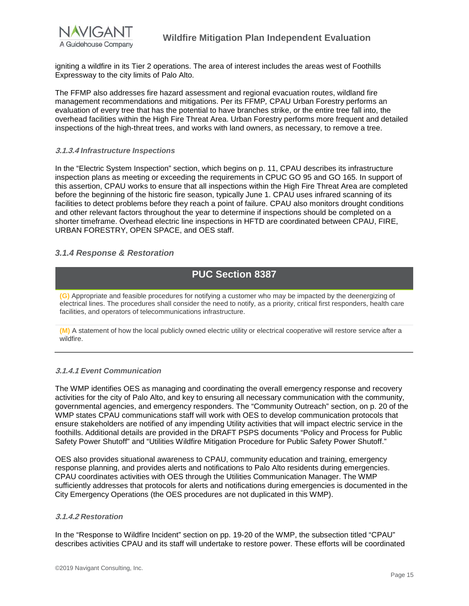

igniting a wildfire in its Tier 2 operations. The area of interest includes the areas west of Foothills Expressway to the city limits of Palo Alto.

The FFMP also addresses fire hazard assessment and regional evacuation routes, wildland fire management recommendations and mitigations. Per its FFMP*,* CPAU Urban Forestry performs an evaluation of every tree that has the potential to have branches strike, or the entire tree fall into, the overhead facilities within the High Fire Threat Area. Urban Forestry performs more frequent and detailed inspections of the high-threat trees, and works with land owners, as necessary, to remove a tree.

#### **3.1.3.4** *Infrastructure Inspections*

In the "Electric System Inspection" section, which begins on p. 11, CPAU describes its infrastructure inspection plans as meeting or exceeding the requirements in CPUC GO 95 and GO 165. In support of this assertion, CPAU works to ensure that all inspections within the High Fire Threat Area are completed before the beginning of the historic fire season, typically June 1. CPAU uses infrared scanning of its facilities to detect problems before they reach a point of failure. CPAU also monitors drought conditions and other relevant factors throughout the year to determine if inspections should be completed on a shorter timeframe. Overhead electric line inspections in HFTD are coordinated between CPAU, FIRE, URBAN FORESTRY, OPEN SPACE, and OES staff.

#### <span id="page-15-0"></span>*3.1.4 Response & Restoration*



**(G)** Appropriate and feasible procedures for notifying a customer who may be impacted by the deenergizing of electrical lines. The procedures shall consider the need to notify, as a priority, critical first responders, health care facilities, and operators of telecommunications infrastructure.

**(M)** A statement of how the local publicly owned electric utility or electrical cooperative will restore service after a wildfire.

#### **3.1.4.1** *Event Communication*

The WMP identifies OES as managing and coordinating the overall emergency response and recovery activities for the city of Palo Alto, and key to ensuring all necessary communication with the community, governmental agencies, and emergency responders. The "Community Outreach" section, on p. 20 of the WMP states CPAU communications staff will work with OES to develop communication protocols that ensure stakeholders are notified of any impending Utility activities that will impact electric service in the foothills. Additional details are provided in the DRAFT PSPS documents "Policy and Process for Public Safety Power Shutoff" and "Utilities Wildfire Mitigation Procedure for Public Safety Power Shutoff."

OES also provides situational awareness to CPAU, community education and training, emergency response planning, and provides alerts and notifications to Palo Alto residents during emergencies. CPAU coordinates activities with OES through the Utilities Communication Manager. The WMP sufficiently addresses that protocols for alerts and notifications during emergencies is documented in the City Emergency Operations (the OES procedures are not duplicated in this WMP).

#### **3.1.4.2** *Restoration*

In the "Response to Wildfire Incident" section on pp. 19-20 of the WMP, the subsection titled "CPAU" describes activities CPAU and its staff will undertake to restore power. These efforts will be coordinated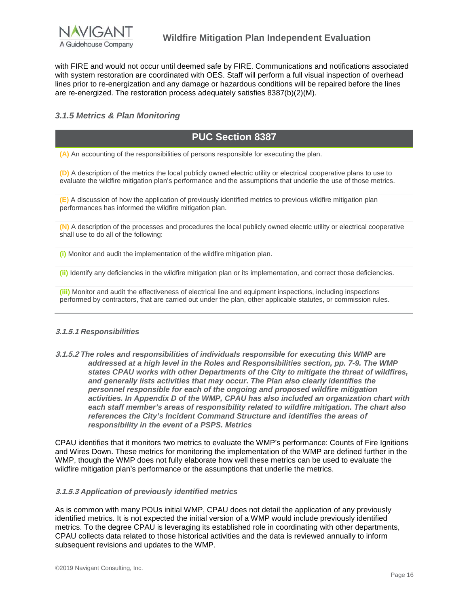

with FIRE and would not occur until deemed safe by FIRE. Communications and notifications associated with system restoration are coordinated with OES. Staff will perform a full visual inspection of overhead lines prior to re-energization and any damage or hazardous conditions will be repaired before the lines are re-energized. The restoration process adequately satisfies 8387(b)(2)(M).

#### <span id="page-16-0"></span>*3.1.5 Metrics & Plan Monitoring*

### **PUC Section 8387**

**(A)** An accounting of the responsibilities of persons responsible for executing the plan.

**(D)** A description of the metrics the local publicly owned electric utility or electrical cooperative plans to use to evaluate the wildfire mitigation plan's performance and the assumptions that underlie the use of those metrics.

**(E)** A discussion of how the application of previously identified metrics to previous wildfire mitigation plan performances has informed the wildfire mitigation plan.

**(N)** A description of the processes and procedures the local publicly owned electric utility or electrical cooperative shall use to do all of the following:

**(i)** Monitor and audit the implementation of the wildfire mitigation plan.

**(ii)** Identify any deficiencies in the wildfire mitigation plan or its implementation, and correct those deficiencies.

**(iii)** Monitor and audit the effectiveness of electrical line and equipment inspections, including inspections performed by contractors, that are carried out under the plan, other applicable statutes, or commission rules.

#### **3.1.5.1** *Responsibilities*

**3.1.5.2** *The roles and responsibilities of individuals responsible for executing this WMP are addressed at a high level in the Roles and Responsibilities section, pp. 7-9. The WMP states CPAU works with other Departments of the City to mitigate the threat of wildfires, and generally lists activities that may occur. The Plan also clearly identifies the personnel responsible for each of the ongoing and proposed wildfire mitigation activities. In Appendix D of the WMP, CPAU has also included an organization chart with each staff member's areas of responsibility related to wildfire mitigation. The chart also references the City's Incident Command Structure and identifies the areas of responsibility in the event of a PSPS. Metrics* 

CPAU identifies that it monitors two metrics to evaluate the WMP's performance: Counts of Fire Ignitions and Wires Down. These metrics for monitoring the implementation of the WMP are defined further in the WMP, though the WMP does not fully elaborate how well these metrics can be used to evaluate the wildfire mitigation plan's performance or the assumptions that underlie the metrics.

#### **3.1.5.3** *Application of previously identified metrics*

As is common with many POUs initial WMP, CPAU does not detail the application of any previously identified metrics. It is not expected the initial version of a WMP would include previously identified metrics. To the degree CPAU is leveraging its established role in coordinating with other departments, CPAU collects data related to those historical activities and the data is reviewed annually to inform subsequent revisions and updates to the WMP.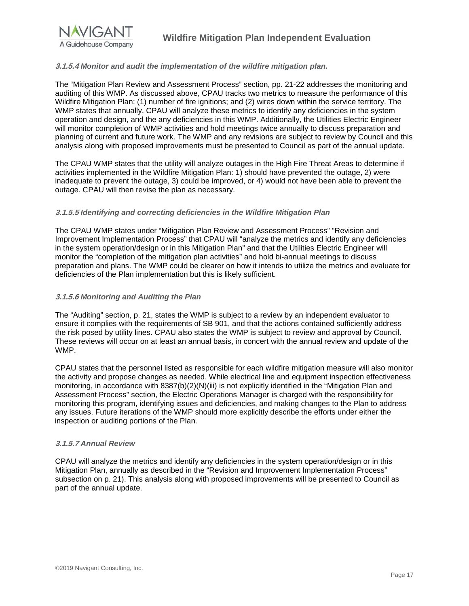

#### **3.1.5.4** *Monitor and audit the implementation of the wildfire mitigation plan.*

The "Mitigation Plan Review and Assessment Process" section, pp. 21-22 addresses the monitoring and auditing of this WMP. As discussed above, CPAU tracks two metrics to measure the performance of this Wildfire Mitigation Plan: (1) number of fire ignitions; and (2) wires down within the service territory. The WMP states that annually, CPAU will analyze these metrics to identify any deficiencies in the system operation and design, and the any deficiencies in this WMP. Additionally, the Utilities Electric Engineer will monitor completion of WMP activities and hold meetings twice annually to discuss preparation and planning of current and future work. The WMP and any revisions are subject to review by Council and this analysis along with proposed improvements must be presented to Council as part of the annual update.

The CPAU WMP states that the utility will analyze outages in the High Fire Threat Areas to determine if activities implemented in the Wildfire Mitigation Plan: 1) should have prevented the outage, 2) were inadequate to prevent the outage, 3) could be improved, or 4) would not have been able to prevent the outage. CPAU will then revise the plan as necessary.

#### **3.1.5.5** *Identifying and correcting deficiencies in the Wildfire Mitigation Plan*

The CPAU WMP states under "Mitigation Plan Review and Assessment Process" "Revision and Improvement Implementation Process" that CPAU will "analyze the metrics and identify any deficiencies in the system operation/design or in this Mitigation Plan" and that the Utilities Electric Engineer will monitor the "completion of the mitigation plan activities" and hold bi-annual meetings to discuss preparation and plans. The WMP could be clearer on how it intends to utilize the metrics and evaluate for deficiencies of the Plan implementation but this is likely sufficient.

#### **3.1.5.6** *Monitoring and Auditing the Plan*

The "Auditing" section, p. 21, states the WMP is subject to a review by an independent evaluator to ensure it complies with the requirements of SB 901, and that the actions contained sufficiently address the risk posed by utility lines. CPAU also states the WMP is subject to review and approval by Council. These reviews will occur on at least an annual basis, in concert with the annual review and update of the WMP.

CPAU states that the personnel listed as responsible for each wildfire mitigation measure will also monitor the activity and propose changes as needed. While electrical line and equipment inspection effectiveness monitoring, in accordance with 8387(b)(2)(N)(iii) is not explicitly identified in the "Mitigation Plan and Assessment Process" section, the Electric Operations Manager is charged with the responsibility for monitoring this program, identifying issues and deficiencies, and making changes to the Plan to address any issues. Future iterations of the WMP should more explicitly describe the efforts under either the inspection or auditing portions of the Plan.

#### **3.1.5.7** *Annual Review*

CPAU will analyze the metrics and identify any deficiencies in the system operation/design or in this Mitigation Plan, annually as described in the "Revision and Improvement Implementation Process" subsection on p. 21). This analysis along with proposed improvements will be presented to Council as part of the annual update.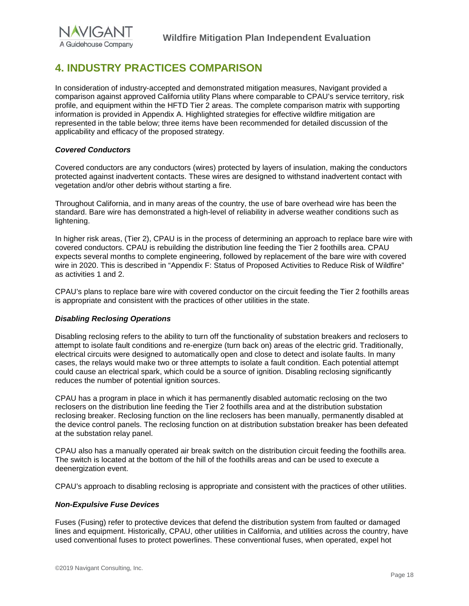## <span id="page-18-0"></span>**4. INDUSTRY PRACTICES COMPARISON**

In consideration of industry-accepted and demonstrated mitigation measures, Navigant provided a comparison against approved California utility Plans where comparable to CPAU's service territory, risk profile, and equipment within the HFTD Tier 2 areas. The complete comparison matrix with supporting information is provided in Appendix A. Highlighted strategies for effective wildfire mitigation are represented in the table below; three items have been recommended for detailed discussion of the applicability and efficacy of the proposed strategy.

#### *Covered Conductors*

Covered conductors are any conductors (wires) protected by layers of insulation, making the conductors protected against inadvertent contacts. These wires are designed to withstand inadvertent contact with vegetation and/or other debris without starting a fire.

Throughout California, and in many areas of the country, the use of bare overhead wire has been the standard. Bare wire has demonstrated a high-level of reliability in adverse weather conditions such as lightening.

In higher risk areas, (Tier 2), CPAU is in the process of determining an approach to replace bare wire with covered conductors. CPAU is rebuilding the distribution line feeding the Tier 2 foothills area. CPAU expects several months to complete engineering, followed by replacement of the bare wire with covered wire in 2020. This is described in "Appendix F: Status of Proposed Activities to Reduce Risk of Wildfire" as activities 1 and 2.

CPAU's plans to replace bare wire with covered conductor on the circuit feeding the Tier 2 foothills areas is appropriate and consistent with the practices of other utilities in the state.

#### *Disabling Reclosing Operations*

Disabling reclosing refers to the ability to turn off the functionality of substation breakers and reclosers to attempt to isolate fault conditions and re-energize (turn back on) areas of the electric grid. Traditionally, electrical circuits were designed to automatically open and close to detect and isolate faults. In many cases, the relays would make two or three attempts to isolate a fault condition. Each potential attempt could cause an electrical spark, which could be a source of ignition. Disabling reclosing significantly reduces the number of potential ignition sources.

CPAU has a program in place in which it has permanently disabled automatic reclosing on the two reclosers on the distribution line feeding the Tier 2 foothills area and at the distribution substation reclosing breaker. Reclosing function on the line reclosers has been manually, permanently disabled at the device control panels. The reclosing function on at distribution substation breaker has been defeated at the substation relay panel.

CPAU also has a manually operated air break switch on the distribution circuit feeding the foothills area. The switch is located at the bottom of the hill of the foothills areas and can be used to execute a deenergization event.

CPAU's approach to disabling reclosing is appropriate and consistent with the practices of other utilities.

#### *Non-Expulsive Fuse Devices*

Fuses (Fusing) refer to protective devices that defend the distribution system from faulted or damaged lines and equipment. Historically, CPAU, other utilities in California, and utilities across the country, have used conventional fuses to protect powerlines. These conventional fuses, when operated, expel hot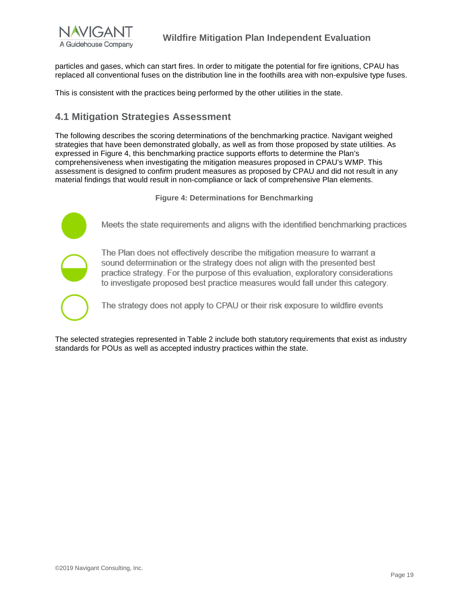

particles and gases, which can start fires. In order to mitigate the potential for fire ignitions, CPAU has replaced all conventional fuses on the distribution line in the foothills area with non-expulsive type fuses.

This is consistent with the practices being performed by the other utilities in the state.

### <span id="page-19-0"></span>**4.1 Mitigation Strategies Assessment**

The following describes the scoring determinations of the benchmarking practice. Navigant weighed strategies that have been demonstrated globally, as well as from those proposed by state utilities. As expressed in Figure 4, this benchmarking practice supports efforts to determine the Plan's comprehensiveness when investigating the mitigation measures proposed in CPAU's WMP. This assessment is designed to confirm prudent measures as proposed by CPAU and did not result in any material findings that would result in non-compliance or lack of comprehensive Plan elements.

**Figure 4: Determinations for Benchmarking**



The Plan does not effectively describe the mitigation measure to warrant a sound determination or the strategy does not align with the presented best practice strategy. For the purpose of this evaluation, exploratory considerations to investigate proposed best practice measures would fall under this category.

The strategy does not apply to CPAU or their risk exposure to wildfire events

The selected strategies represented in Table 2 include both statutory requirements that exist as industry standards for POUs as well as accepted industry practices within the state.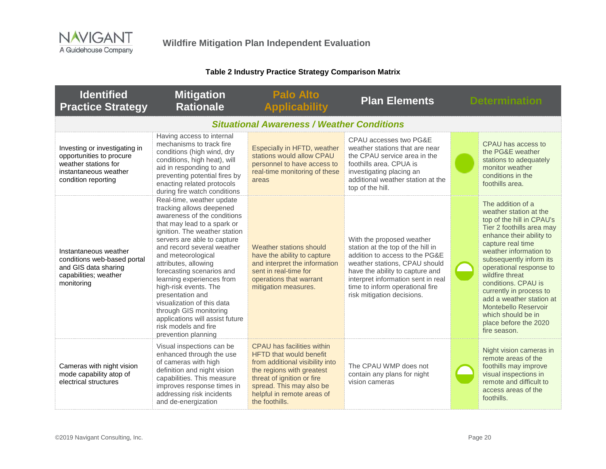### **Table 2 Industry Practice Strategy Comparison Matrix**

| <b>Identified</b><br><b>Practice Strategy</b>                                                                                     | <b>Mitigation</b><br><b>Rationale</b>                                                                                                                                                                                                                                                                                                                                                                                                                                                                            | <b>Palo Alto</b><br><b>Applicability</b>                                                                                                                                                                                               | <b>Plan Elements</b>                                                                                                                                                                                                                                                        | <b>Determination</b>                                                                                                                                                                                                                                                                                                                                                                                                           |
|-----------------------------------------------------------------------------------------------------------------------------------|------------------------------------------------------------------------------------------------------------------------------------------------------------------------------------------------------------------------------------------------------------------------------------------------------------------------------------------------------------------------------------------------------------------------------------------------------------------------------------------------------------------|----------------------------------------------------------------------------------------------------------------------------------------------------------------------------------------------------------------------------------------|-----------------------------------------------------------------------------------------------------------------------------------------------------------------------------------------------------------------------------------------------------------------------------|--------------------------------------------------------------------------------------------------------------------------------------------------------------------------------------------------------------------------------------------------------------------------------------------------------------------------------------------------------------------------------------------------------------------------------|
|                                                                                                                                   |                                                                                                                                                                                                                                                                                                                                                                                                                                                                                                                  | <b>Situational Awareness / Weather Conditions</b>                                                                                                                                                                                      |                                                                                                                                                                                                                                                                             |                                                                                                                                                                                                                                                                                                                                                                                                                                |
| Investing or investigating in<br>opportunities to procure<br>weather stations for<br>instantaneous weather<br>condition reporting | Having access to internal<br>mechanisms to track fire<br>conditions (high wind, dry<br>conditions, high heat), will<br>aid in responding to and<br>preventing potential fires by<br>enacting related protocols<br>during fire watch conditions                                                                                                                                                                                                                                                                   | Especially in HFTD, weather<br>stations would allow CPAU<br>personnel to have access to<br>real-time monitoring of these<br>areas                                                                                                      | CPAU accesses two PG&E<br>weather stations that are near<br>the CPAU service area in the<br>foothills area. CPUA is<br>investigating placing an<br>additional weather station at the<br>top of the hill.                                                                    | CPAU has access to<br>the PG&E weather<br>stations to adequately<br>monitor weather<br>conditions in the<br>foothills area.                                                                                                                                                                                                                                                                                                    |
| Instantaneous weather<br>conditions web-based portal<br>and GIS data sharing<br>capabilities; weather<br>monitoring               | Real-time, weather update<br>tracking allows deepened<br>awareness of the conditions<br>that may lead to a spark or<br>ignition. The weather station<br>servers are able to capture<br>and record several weather<br>and meteorological<br>attributes, allowing<br>forecasting scenarios and<br>learning experiences from<br>high-risk events. The<br>presentation and<br>visualization of this data<br>through GIS monitoring<br>applications will assist future<br>risk models and fire<br>prevention planning | Weather stations should<br>have the ability to capture<br>and interpret the information<br>sent in real-time for<br>operations that warrant<br>mitigation measures.                                                                    | With the proposed weather<br>station at the top of the hill in<br>addition to access to the PG&E<br>weather stations, CPAU should<br>have the ability to capture and<br>interpret information sent in real<br>time to inform operational fire<br>risk mitigation decisions. | The addition of a<br>weather station at the<br>top of the hill in CPAU's<br>Tier 2 foothills area may<br>enhance their ability to<br>capture real time<br>weather information to<br>subsequently inform its<br>operational response to<br>wildfire threat<br>conditions. CPAU is<br>currently in process to<br>add a weather station at<br>Montebello Reservoir<br>which should be in<br>place before the 2020<br>fire season. |
| Cameras with night vision<br>mode capability atop of<br>electrical structures                                                     | Visual inspections can be<br>enhanced through the use<br>of cameras with high<br>definition and night vision<br>capabilities. This measure<br>improves response times in<br>addressing risk incidents<br>and de-energization                                                                                                                                                                                                                                                                                     | CPAU has facilities within<br><b>HFTD</b> that would benefit<br>from additional visibility into<br>the regions with greatest<br>threat of ignition or fire<br>spread. This may also be<br>helpful in remote areas of<br>the foothills. | The CPAU WMP does not<br>contain any plans for night<br>vision cameras                                                                                                                                                                                                      | Night vision cameras in<br>remote areas of the<br>foothills may improve<br>visual inspections in<br>remote and difficult to<br>access areas of the<br>foothills.                                                                                                                                                                                                                                                               |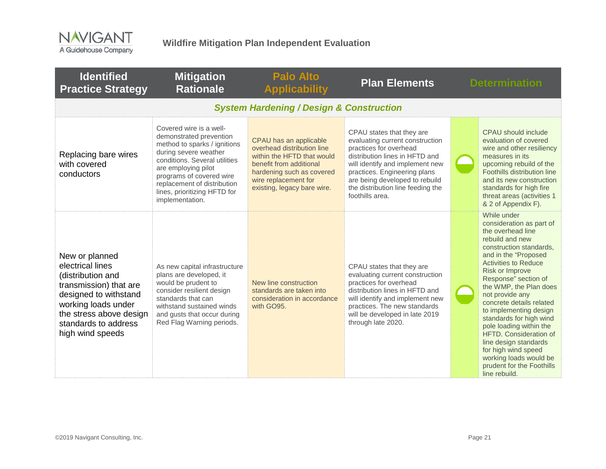

| <b>Identified</b><br><b>Practice Strategy</b>                                                                                                                                                            | <b>Mitigation</b><br><b>Rationale</b>                                                                                                                                                                                                                                             | <b>Palo Alto</b><br><b>Applicability</b>                                                                                                                                                          | <b>Plan Elements</b>                                                                                                                                                                                                                                                                  | <b>Determination</b>                                                                                                                                                                                                                                                                                                                                                                                                                                                                                                           |
|----------------------------------------------------------------------------------------------------------------------------------------------------------------------------------------------------------|-----------------------------------------------------------------------------------------------------------------------------------------------------------------------------------------------------------------------------------------------------------------------------------|---------------------------------------------------------------------------------------------------------------------------------------------------------------------------------------------------|---------------------------------------------------------------------------------------------------------------------------------------------------------------------------------------------------------------------------------------------------------------------------------------|--------------------------------------------------------------------------------------------------------------------------------------------------------------------------------------------------------------------------------------------------------------------------------------------------------------------------------------------------------------------------------------------------------------------------------------------------------------------------------------------------------------------------------|
|                                                                                                                                                                                                          |                                                                                                                                                                                                                                                                                   | <b>System Hardening / Design &amp; Construction</b>                                                                                                                                               |                                                                                                                                                                                                                                                                                       |                                                                                                                                                                                                                                                                                                                                                                                                                                                                                                                                |
| Replacing bare wires<br>with covered<br>conductors                                                                                                                                                       | Covered wire is a well-<br>demonstrated prevention<br>method to sparks / ignitions<br>during severe weather<br>conditions. Several utilities<br>are employing pilot<br>programs of covered wire<br>replacement of distribution<br>lines, prioritizing HFTD for<br>implementation. | CPAU has an applicable<br>overhead distribution line<br>within the HFTD that would<br>benefit from additional<br>hardening such as covered<br>wire replacement for<br>existing, legacy bare wire. | CPAU states that they are<br>evaluating current construction<br>practices for overhead<br>distribution lines in HFTD and<br>will identify and implement new<br>practices. Engineering plans<br>are being developed to rebuild<br>the distribution line feeding the<br>foothills area. | CPAU should include<br>evaluation of covered<br>wire and other resiliency<br>measures in its<br>upcoming rebuild of the<br>Foothills distribution line<br>and its new construction<br>standards for high fire<br>threat areas (activities 1<br>& 2 of Appendix F).                                                                                                                                                                                                                                                             |
| New or planned<br>electrical lines<br>(distribution and<br>transmission) that are<br>designed to withstand<br>working loads under<br>the stress above design<br>standards to address<br>high wind speeds | As new capital infrastructure<br>plans are developed, it<br>would be prudent to<br>consider resilient design<br>standards that can<br>withstand sustained winds<br>and gusts that occur during<br>Red Flag Warning periods.                                                       | New line construction<br>standards are taken into<br>consideration in accordance<br>with GO95.                                                                                                    | CPAU states that they are<br>evaluating current construction<br>practices for overhead<br>distribution lines in HFTD and<br>will identify and implement new<br>practices. The new standards<br>will be developed in late 2019<br>through late 2020.                                   | While under<br>consideration as part of<br>the overhead line<br>rebuild and new<br>construction standards,<br>and in the "Proposed<br><b>Activities to Reduce</b><br><b>Risk or Improve</b><br>Response" section of<br>the WMP, the Plan does<br>not provide any<br>concrete details related<br>to implementing design<br>standards for high wind<br>pole loading within the<br>HFTD. Consideration of<br>line design standards<br>for high wind speed<br>working loads would be<br>prudent for the Foothills<br>line rebuild. |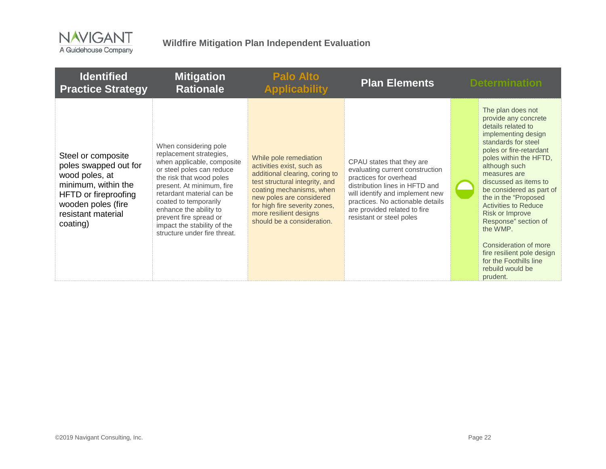

| <b>Identified</b><br><b>Practice Strategy</b>                                                                                                                        | <b>Mitigation</b><br><b>Rationale</b>                                                                                                                                                                                                                                                                                                         | <b>Palo Alto</b><br><b>Applicability</b>                                                                                                                                                                                                                                 | <b>Plan Elements</b>                                                                                                                                                                                                                                        | <b>Determination</b>                                                                                                                                                                                                                                                                                                                                                                                                                                                                           |
|----------------------------------------------------------------------------------------------------------------------------------------------------------------------|-----------------------------------------------------------------------------------------------------------------------------------------------------------------------------------------------------------------------------------------------------------------------------------------------------------------------------------------------|--------------------------------------------------------------------------------------------------------------------------------------------------------------------------------------------------------------------------------------------------------------------------|-------------------------------------------------------------------------------------------------------------------------------------------------------------------------------------------------------------------------------------------------------------|------------------------------------------------------------------------------------------------------------------------------------------------------------------------------------------------------------------------------------------------------------------------------------------------------------------------------------------------------------------------------------------------------------------------------------------------------------------------------------------------|
| Steel or composite<br>poles swapped out for<br>wood poles, at<br>minimum, within the<br>HFTD or fireproofing<br>wooden poles (fire<br>resistant material<br>coating) | When considering pole<br>replacement strategies,<br>when applicable, composite<br>or steel poles can reduce<br>the risk that wood poles<br>present. At minimum, fire<br>retardant material can be<br>coated to temporarily<br>enhance the ability to<br>prevent fire spread or<br>impact the stability of the<br>structure under fire threat. | While pole remediation<br>activities exist, such as<br>additional clearing, coring to<br>test structural integrity, and<br>coating mechanisms, when<br>new poles are considered<br>for high fire severity zones,<br>more resilient designs<br>should be a consideration. | CPAU states that they are<br>evaluating current construction<br>practices for overhead<br>distribution lines in HFTD and<br>will identify and implement new<br>practices. No actionable details<br>are provided related to fire<br>resistant or steel poles | The plan does not<br>provide any concrete<br>details related to<br>implementing design<br>standards for steel<br>poles or fire-retardant<br>poles within the HFTD,<br>although such<br>measures are<br>discussed as items to<br>be considered as part of<br>the in the "Proposed<br><b>Activities to Reduce</b><br><b>Risk or Improve</b><br>Response" section of<br>the WMP.<br>Consideration of more<br>fire resilient pole design<br>for the Foothills line<br>rebuild would be<br>prudent. |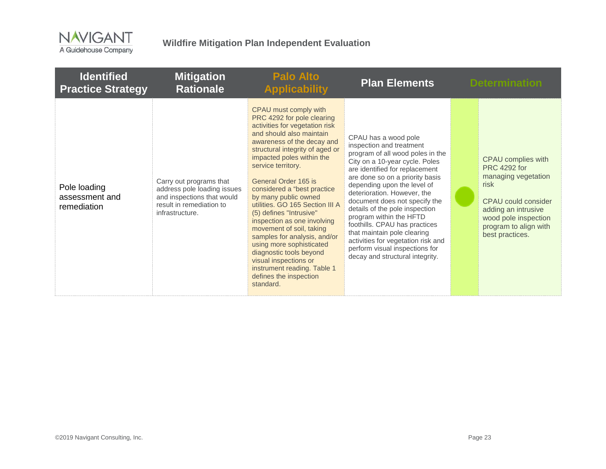

| <b>Identified</b><br><b>Practice Strategy</b> | <b>Mitigation</b><br><b>Rationale</b>                                                                                               | <b>Palo Alto</b><br><b>Applicability</b>                                                                                                                                                                                                                                                                                                                                                                                                                                                                                                                                                                                            | <b>Plan Elements</b>                                                                                                                                                                                                                                                                                                                                                                                                                                                                                                               | <b>Determination</b>                                                                                                                                                                       |
|-----------------------------------------------|-------------------------------------------------------------------------------------------------------------------------------------|-------------------------------------------------------------------------------------------------------------------------------------------------------------------------------------------------------------------------------------------------------------------------------------------------------------------------------------------------------------------------------------------------------------------------------------------------------------------------------------------------------------------------------------------------------------------------------------------------------------------------------------|------------------------------------------------------------------------------------------------------------------------------------------------------------------------------------------------------------------------------------------------------------------------------------------------------------------------------------------------------------------------------------------------------------------------------------------------------------------------------------------------------------------------------------|--------------------------------------------------------------------------------------------------------------------------------------------------------------------------------------------|
| Pole loading<br>assessment and<br>remediation | Carry out programs that<br>address pole loading issues<br>and inspections that would<br>result in remediation to<br>infrastructure. | CPAU must comply with<br>PRC 4292 for pole clearing<br>activities for vegetation risk<br>and should also maintain<br>awareness of the decay and<br>structural integrity of aged or<br>impacted poles within the<br>service territory.<br>General Order 165 is<br>considered a "best practice<br>by many public owned<br>utilities. GO 165 Section III A<br>(5) defines "Intrusive"<br>inspection as one involving<br>movement of soil, taking<br>samples for analysis, and/or<br>using more sophisticated<br>diagnostic tools beyond<br>visual inspections or<br>instrument reading. Table 1<br>defines the inspection<br>standard. | CPAU has a wood pole<br>inspection and treatment<br>program of all wood poles in the<br>City on a 10-year cycle. Poles<br>are identified for replacement<br>are done so on a priority basis<br>depending upon the level of<br>deterioration. However, the<br>document does not specify the<br>details of the pole inspection<br>program within the HFTD<br>foothills. CPAU has practices<br>that maintain pole clearing<br>activities for vegetation risk and<br>perform visual inspections for<br>decay and structural integrity. | CPAU complies with<br><b>PRC</b> 4292 for<br>managing vegetation<br>risk<br>CPAU could consider<br>adding an intrusive<br>wood pole inspection<br>program to align with<br>best practices. |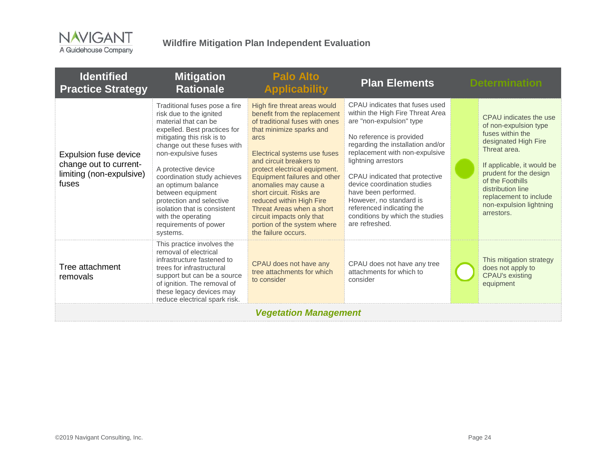

| <b>Identified</b><br><b>Practice Strategy</b>                                        | <b>Mitigation</b><br><b>Rationale</b>                                                                                                                                                                                                                                                                                                                                                                                        | <b>Palo Alto</b><br><b>Applicability</b>                                                                                                                                                                                                                                                                                                                                                                                                                        | <b>Plan Elements</b>                                                                                                                                                                                                                                                                                                                                                                                                           | <b>Determination</b>                                                                                                                                                                                                                                                            |
|--------------------------------------------------------------------------------------|------------------------------------------------------------------------------------------------------------------------------------------------------------------------------------------------------------------------------------------------------------------------------------------------------------------------------------------------------------------------------------------------------------------------------|-----------------------------------------------------------------------------------------------------------------------------------------------------------------------------------------------------------------------------------------------------------------------------------------------------------------------------------------------------------------------------------------------------------------------------------------------------------------|--------------------------------------------------------------------------------------------------------------------------------------------------------------------------------------------------------------------------------------------------------------------------------------------------------------------------------------------------------------------------------------------------------------------------------|---------------------------------------------------------------------------------------------------------------------------------------------------------------------------------------------------------------------------------------------------------------------------------|
| Expulsion fuse device<br>change out to current-<br>limiting (non-expulsive)<br>fuses | Traditional fuses pose a fire<br>risk due to the ignited<br>material that can be<br>expelled. Best practices for<br>mitigating this risk is to<br>change out these fuses with<br>non-expulsive fuses<br>A protective device<br>coordination study achieves<br>an optimum balance<br>between equipment<br>protection and selective<br>isolation that is consistent<br>with the operating<br>requirements of power<br>systems. | High fire threat areas would<br>benefit from the replacement<br>of traditional fuses with ones<br>that minimize sparks and<br>arcs<br>Electrical systems use fuses<br>and circuit breakers to<br>protect electrical equipment.<br>Equipment failures and other<br>anomalies may cause a<br>short circuit. Risks are<br>reduced within High Fire<br>Threat Areas when a short<br>circuit impacts only that<br>portion of the system where<br>the failure occurs. | CPAU indicates that fuses used<br>within the High Fire Threat Area<br>are "non-expulsion" type<br>No reference is provided<br>regarding the installation and/or<br>replacement with non-expulsive<br>lightning arrestors<br>CPAU indicated that protective<br>device coordination studies<br>have been performed.<br>However, no standard is<br>referenced indicating the<br>conditions by which the studies<br>are refreshed. | CPAU indicates the use<br>of non-expulsion type<br>fuses within the<br>designated High Fire<br>Threat area.<br>If applicable, it would be<br>prudent for the design<br>of the Foothills<br>distribution line<br>replacement to include<br>non-expulsion lightning<br>arrestors. |
| Tree attachment<br>removals                                                          | This practice involves the<br>removal of electrical<br>infrastructure fastened to<br>trees for infrastructural<br>support but can be a source<br>of ignition. The removal of<br>these legacy devices may<br>reduce electrical spark risk.                                                                                                                                                                                    | CPAU does not have any<br>tree attachments for which<br>to consider                                                                                                                                                                                                                                                                                                                                                                                             | CPAU does not have any tree<br>attachments for which to<br>consider                                                                                                                                                                                                                                                                                                                                                            | This mitigation strategy<br>does not apply to<br><b>CPAU's existing</b><br>equipment                                                                                                                                                                                            |
|                                                                                      |                                                                                                                                                                                                                                                                                                                                                                                                                              | <b>Vegetation Management</b>                                                                                                                                                                                                                                                                                                                                                                                                                                    |                                                                                                                                                                                                                                                                                                                                                                                                                                |                                                                                                                                                                                                                                                                                 |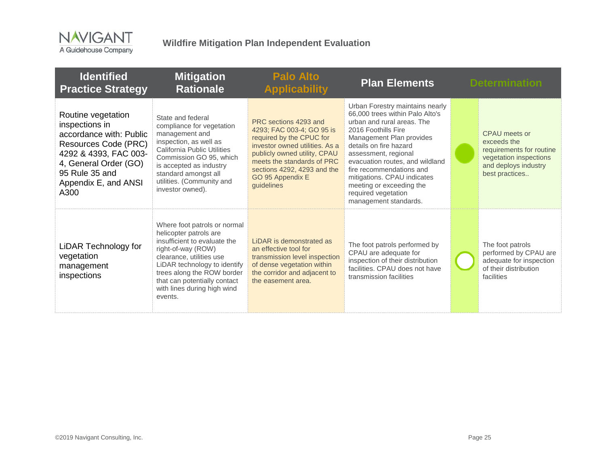

| <b>Identified</b><br><b>Practice Strategy</b>                                                                                                                                               | <b>Mitigation</b><br><b>Rationale</b>                                                                                                                                                                                                                                            | <b>Palo Alto</b><br><b>Applicability</b>                                                                                                                                                                                                        | <b>Plan Elements</b>                                                                                                                                                                                                                                                                                                                                                            | <b>Determination</b>                                                                                                         |
|---------------------------------------------------------------------------------------------------------------------------------------------------------------------------------------------|----------------------------------------------------------------------------------------------------------------------------------------------------------------------------------------------------------------------------------------------------------------------------------|-------------------------------------------------------------------------------------------------------------------------------------------------------------------------------------------------------------------------------------------------|---------------------------------------------------------------------------------------------------------------------------------------------------------------------------------------------------------------------------------------------------------------------------------------------------------------------------------------------------------------------------------|------------------------------------------------------------------------------------------------------------------------------|
| Routine vegetation<br>inspections in<br>accordance with: Public<br>Resources Code (PRC)<br>4292 & 4393, FAC 003-<br>4, General Order (GO)<br>95 Rule 35 and<br>Appendix E, and ANSI<br>A300 | State and federal<br>compliance for vegetation<br>management and<br>inspection, as well as<br>California Public Utilities<br>Commission GO 95, which<br>is accepted as industry<br>standard amongst all<br>utilities. (Community and<br>investor owned).                         | PRC sections 4293 and<br>4293; FAC 003-4; GO 95 is<br>required by the CPUC for<br>investor owned utilities. As a<br>publicly owned utility, CPAU<br>meets the standards of PRC<br>sections 4292, 4293 and the<br>GO 95 Appendix E<br>quidelines | Urban Forestry maintains nearly<br>66,000 trees within Palo Alto's<br>urban and rural areas. The<br>2016 Foothills Fire<br>Management Plan provides<br>details on fire hazard<br>assessment, regional<br>evacuation routes, and wildland<br>fire recommendations and<br>mitigations. CPAU indicates<br>meeting or exceeding the<br>required vegetation<br>management standards. | CPAU meets or<br>exceeds the<br>requirements for routine<br>vegetation inspections<br>and deploys industry<br>best practices |
| LiDAR Technology for<br>vegetation<br>management<br>inspections                                                                                                                             | Where foot patrols or normal<br>helicopter patrols are<br>insufficient to evaluate the<br>right-of-way (ROW)<br>clearance, utilities use<br>LiDAR technology to identify<br>trees along the ROW border<br>that can potentially contact<br>with lines during high wind<br>events. | LiDAR is demonstrated as<br>an effective tool for<br>transmission level inspection<br>of dense vegetation within<br>the corridor and adjacent to<br>the easement area.                                                                          | The foot patrols performed by<br>CPAU are adequate for<br>inspection of their distribution<br>facilities. CPAU does not have<br>transmission facilities                                                                                                                                                                                                                         | The foot patrols<br>performed by CPAU are<br>adequate for inspection<br>of their distribution<br>facilities                  |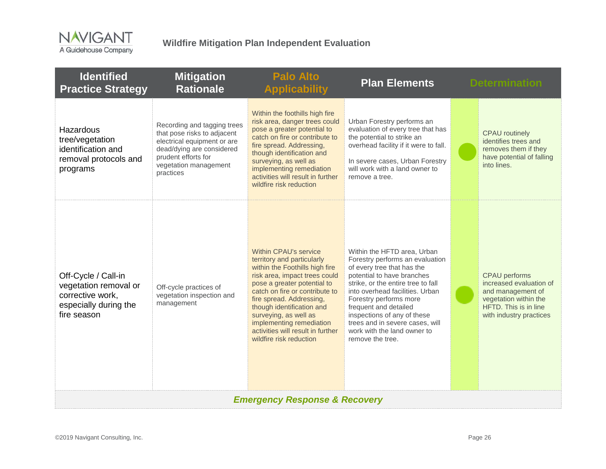

| <b>Identified</b><br><b>Practice Strategy</b>                                                            | <b>Mitigation</b><br><b>Rationale</b>                                                                                                                                               | <b>Palo Alto</b><br><b>Applicability</b>                                                                                                                                                                                                                                                                                                                              | <b>Plan Elements</b>                                                                                                                                                                                                                                                                                                                                                        |  | <b>Determination</b>                                                                                                                              |  |
|----------------------------------------------------------------------------------------------------------|-------------------------------------------------------------------------------------------------------------------------------------------------------------------------------------|-----------------------------------------------------------------------------------------------------------------------------------------------------------------------------------------------------------------------------------------------------------------------------------------------------------------------------------------------------------------------|-----------------------------------------------------------------------------------------------------------------------------------------------------------------------------------------------------------------------------------------------------------------------------------------------------------------------------------------------------------------------------|--|---------------------------------------------------------------------------------------------------------------------------------------------------|--|
| Hazardous<br>tree/vegetation<br>identification and<br>removal protocols and<br>programs                  | Recording and tagging trees<br>that pose risks to adjacent<br>electrical equipment or are<br>dead/dying are considered<br>prudent efforts for<br>vegetation management<br>practices | Within the foothills high fire<br>risk area, danger trees could<br>pose a greater potential to<br>catch on fire or contribute to<br>fire spread. Addressing,<br>though identification and<br>surveying, as well as<br>implementing remediation<br>activities will result in further<br>wildfire risk reduction                                                        | Urban Forestry performs an<br>evaluation of every tree that has<br>the potential to strike an<br>overhead facility if it were to fall.<br>In severe cases, Urban Forestry<br>will work with a land owner to<br>remove a tree.                                                                                                                                               |  | <b>CPAU</b> routinely<br>identifies trees and<br>removes them if they<br>have potential of falling<br>into lines.                                 |  |
| Off-Cycle / Call-in<br>vegetation removal or<br>corrective work,<br>especially during the<br>fire season | Off-cycle practices of<br>vegetation inspection and<br>management                                                                                                                   | Within CPAU's service<br>territory and particularly<br>within the Foothills high fire<br>risk area, impact trees could<br>pose a greater potential to<br>catch on fire or contribute to<br>fire spread. Addressing,<br>though identification and<br>surveying, as well as<br>implementing remediation<br>activities will result in further<br>wildfire risk reduction | Within the HFTD area, Urban<br>Forestry performs an evaluation<br>of every tree that has the<br>potential to have branches<br>strike, or the entire tree to fall<br>into overhead facilities. Urban<br>Forestry performs more<br>frequent and detailed<br>inspections of any of these<br>trees and in severe cases, will<br>work with the land owner to<br>remove the tree. |  | <b>CPAU</b> performs<br>increased evaluation of<br>and management of<br>vegetation within the<br>HFTD. This is in line<br>with industry practices |  |
| <b>Emergency Response &amp; Recovery</b>                                                                 |                                                                                                                                                                                     |                                                                                                                                                                                                                                                                                                                                                                       |                                                                                                                                                                                                                                                                                                                                                                             |  |                                                                                                                                                   |  |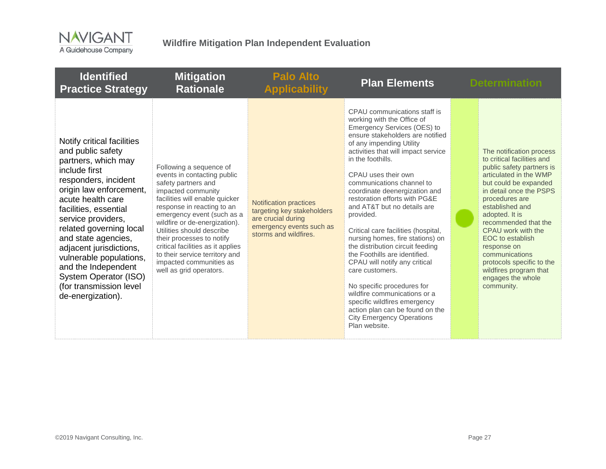

| <b>Identified</b><br><b>Practice Strategy</b>                                                                                                                                                                                                                                                                                                                                                                          | <b>Mitigation</b><br><b>Rationale</b>                                                                                                                                                                                                                                                                                                                                                                                     | <b>Palo Alto</b><br><b>Applicability</b>                                                                                               | <b>Plan Elements</b>                                                                                                                                                                                                                                                                                                                                                                                                                                                                                                                                                                                                                                                                                                                                                              | <b>Determination</b>                                                                                                                                                                                                                                                                                                                                                                                                  |
|------------------------------------------------------------------------------------------------------------------------------------------------------------------------------------------------------------------------------------------------------------------------------------------------------------------------------------------------------------------------------------------------------------------------|---------------------------------------------------------------------------------------------------------------------------------------------------------------------------------------------------------------------------------------------------------------------------------------------------------------------------------------------------------------------------------------------------------------------------|----------------------------------------------------------------------------------------------------------------------------------------|-----------------------------------------------------------------------------------------------------------------------------------------------------------------------------------------------------------------------------------------------------------------------------------------------------------------------------------------------------------------------------------------------------------------------------------------------------------------------------------------------------------------------------------------------------------------------------------------------------------------------------------------------------------------------------------------------------------------------------------------------------------------------------------|-----------------------------------------------------------------------------------------------------------------------------------------------------------------------------------------------------------------------------------------------------------------------------------------------------------------------------------------------------------------------------------------------------------------------|
| Notify critical facilities<br>and public safety<br>partners, which may<br>include first<br>responders, incident<br>origin law enforcement,<br>acute health care<br>facilities, essential<br>service providers,<br>related governing local<br>and state agencies,<br>adjacent jurisdictions,<br>vulnerable populations,<br>and the Independent<br>System Operator (ISO)<br>(for transmission level<br>de-energization). | Following a sequence of<br>events in contacting public<br>safety partners and<br>impacted community<br>facilities will enable quicker<br>response in reacting to an<br>emergency event (such as a<br>wildfire or de-energization).<br>Utilities should describe<br>their processes to notify<br>critical facilities as it applies<br>to their service territory and<br>impacted communities as<br>well as grid operators. | <b>Notification practices</b><br>targeting key stakeholders<br>are crucial during<br>emergency events such as<br>storms and wildfires. | CPAU communications staff is<br>working with the Office of<br>Emergency Services (OES) to<br>ensure stakeholders are notified<br>of any impending Utility<br>activities that will impact service<br>in the foothills.<br>CPAU uses their own<br>communications channel to<br>coordinate deenergization and<br>restoration efforts with PG&E<br>and AT&T but no details are<br>provided.<br>Critical care facilities (hospital,<br>nursing homes, fire stations) on<br>the distribution circuit feeding<br>the Foothills are identified.<br>CPAU will notify any critical<br>care customers.<br>No specific procedures for<br>wildfire communications or a<br>specific wildfires emergency<br>action plan can be found on the<br><b>City Emergency Operations</b><br>Plan website. | The notification process<br>to critical facilities and<br>public safety partners is<br>articulated in the WMP<br>but could be expanded<br>in detail once the PSPS<br>procedures are<br>established and<br>adopted. It is<br>recommended that the<br>CPAU work with the<br>EOC to establish<br>response on<br>communications<br>protocols specific to the<br>wildfires program that<br>engages the whole<br>community. |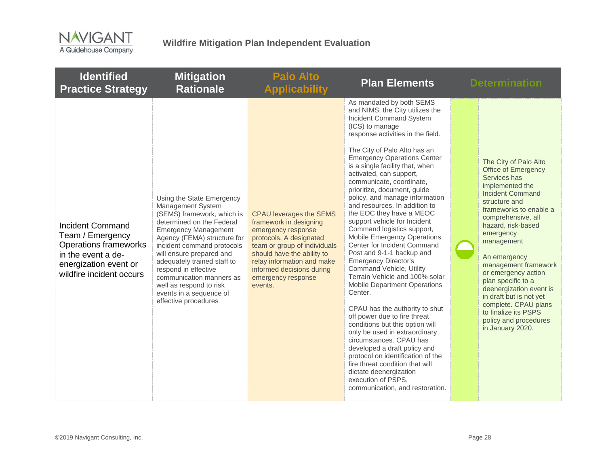

| <b>Identified</b><br><b>Practice Strategy</b>                                                                                                          | <b>Mitigation</b><br><b>Rationale</b>                                                                                                                                                                                                                                                                                                                                                              | <b>Palo Alto</b><br><b>Applicability</b>                                                                                                                                                                                                                            | <b>Plan Elements</b>                                                                                                                                                                                                                                                                                                                                                                                                                                                                                                                                                                                                                                                                                                                                                                                                                                                                                                                                                                                                                                                                                                    | <b>Determination</b>                                                                                                                                                                                                                                                                                                                                                                                                                                                        |
|--------------------------------------------------------------------------------------------------------------------------------------------------------|----------------------------------------------------------------------------------------------------------------------------------------------------------------------------------------------------------------------------------------------------------------------------------------------------------------------------------------------------------------------------------------------------|---------------------------------------------------------------------------------------------------------------------------------------------------------------------------------------------------------------------------------------------------------------------|-------------------------------------------------------------------------------------------------------------------------------------------------------------------------------------------------------------------------------------------------------------------------------------------------------------------------------------------------------------------------------------------------------------------------------------------------------------------------------------------------------------------------------------------------------------------------------------------------------------------------------------------------------------------------------------------------------------------------------------------------------------------------------------------------------------------------------------------------------------------------------------------------------------------------------------------------------------------------------------------------------------------------------------------------------------------------------------------------------------------------|-----------------------------------------------------------------------------------------------------------------------------------------------------------------------------------------------------------------------------------------------------------------------------------------------------------------------------------------------------------------------------------------------------------------------------------------------------------------------------|
| <b>Incident Command</b><br>Team / Emergency<br><b>Operations frameworks</b><br>in the event a de-<br>energization event or<br>wildfire incident occurs | Using the State Emergency<br>Management System<br>(SEMS) framework, which is<br>determined on the Federal<br><b>Emergency Management</b><br>Agency (FEMA) structure for<br>incident command protocols<br>will ensure prepared and<br>adequately trained staff to<br>respond in effective<br>communication manners as<br>well as respond to risk<br>events in a sequence of<br>effective procedures | <b>CPAU leverages the SEMS</b><br>framework in designing<br>emergency response<br>protocols. A designated<br>team or group of individuals<br>should have the ability to<br>relay information and make<br>informed decisions during<br>emergency response<br>events. | As mandated by both SEMS<br>and NIMS, the City utilizes the<br><b>Incident Command System</b><br>(ICS) to manage<br>response activities in the field.<br>The City of Palo Alto has an<br><b>Emergency Operations Center</b><br>is a single facility that, when<br>activated, can support,<br>communicate, coordinate,<br>prioritize, document, guide<br>policy, and manage information<br>and resources. In addition to<br>the EOC they have a MEOC<br>support vehicle for Incident<br>Command logistics support,<br>Mobile Emergency Operations<br>Center for Incident Command<br>Post and 9-1-1 backup and<br><b>Emergency Director's</b><br>Command Vehicle, Utility<br>Terrain Vehicle and 100% solar<br><b>Mobile Department Operations</b><br>Center.<br>CPAU has the authority to shut<br>off power due to fire threat<br>conditions but this option will<br>only be used in extraordinary<br>circumstances. CPAU has<br>developed a draft policy and<br>protocol on identification of the<br>fire threat condition that will<br>dictate deenergization<br>execution of PSPS,<br>communication, and restoration. | The City of Palo Alto<br><b>Office of Emergency</b><br>Services has<br>implemented the<br><b>Incident Command</b><br>structure and<br>frameworks to enable a<br>comprehensive, all<br>hazard, risk-based<br>emergency<br>management<br>An emergency<br>management framework<br>or emergency action<br>plan specific to a<br>deenergization event is<br>in draft but is not yet<br>complete. CPAU plans<br>to finalize its PSPS<br>policy and procedures<br>in January 2020. |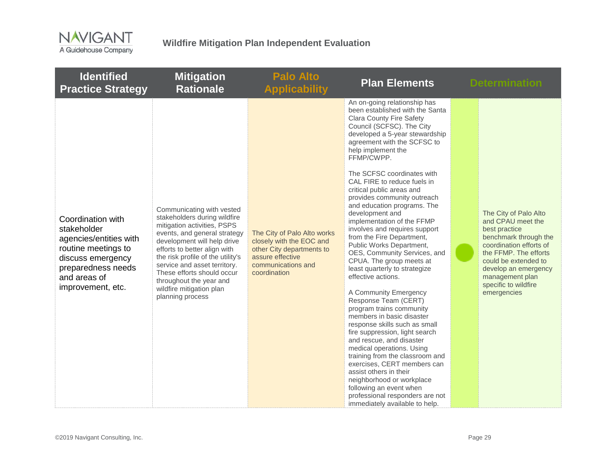

| <b>Identified</b><br><b>Practice Strategy</b>                                                                                                                     | <b>Mitigation</b><br><b>Rationale</b>                                                                                                                                                                                                                                                                                                                                 | <b>Palo Alto</b><br><b>Applicability</b>                                                                                                       | <b>Plan Elements</b>                                                                                                                                                                                                                                                                                                                                                                                                                                                                                                                                                                                                                                                                                                                                                                                                                                                                                                                                                                                                                                                                                                      | <b>Determination</b>                                                                                                                                                                                                                               |
|-------------------------------------------------------------------------------------------------------------------------------------------------------------------|-----------------------------------------------------------------------------------------------------------------------------------------------------------------------------------------------------------------------------------------------------------------------------------------------------------------------------------------------------------------------|------------------------------------------------------------------------------------------------------------------------------------------------|---------------------------------------------------------------------------------------------------------------------------------------------------------------------------------------------------------------------------------------------------------------------------------------------------------------------------------------------------------------------------------------------------------------------------------------------------------------------------------------------------------------------------------------------------------------------------------------------------------------------------------------------------------------------------------------------------------------------------------------------------------------------------------------------------------------------------------------------------------------------------------------------------------------------------------------------------------------------------------------------------------------------------------------------------------------------------------------------------------------------------|----------------------------------------------------------------------------------------------------------------------------------------------------------------------------------------------------------------------------------------------------|
| Coordination with<br>stakeholder<br>agencies/entities with<br>routine meetings to<br>discuss emergency<br>preparedness needs<br>and areas of<br>improvement, etc. | Communicating with vested<br>stakeholders during wildfire<br>mitigation activities, PSPS<br>events, and general strategy<br>development will help drive<br>efforts to better align with<br>the risk profile of the utility's<br>service and asset territory.<br>These efforts should occur<br>throughout the year and<br>wildfire mitigation plan<br>planning process | The City of Palo Alto works<br>closely with the EOC and<br>other City departments to<br>assure effective<br>communications and<br>coordination | An on-going relationship has<br>been established with the Santa<br><b>Clara County Fire Safety</b><br>Council (SCFSC). The City<br>developed a 5-year stewardship<br>agreement with the SCFSC to<br>help implement the<br>FFMP/CWPP.<br>The SCFSC coordinates with<br>CAL FIRE to reduce fuels in<br>critical public areas and<br>provides community outreach<br>and education programs. The<br>development and<br>implementation of the FFMP<br>involves and requires support<br>from the Fire Department,<br>Public Works Department,<br>OES, Community Services, and<br>CPUA. The group meets at<br>least quarterly to strategize<br>effective actions.<br>A Community Emergency<br>Response Team (CERT)<br>program trains community<br>members in basic disaster<br>response skills such as small<br>fire suppression, light search<br>and rescue, and disaster<br>medical operations. Using<br>training from the classroom and<br>exercises, CERT members can<br>assist others in their<br>neighborhood or workplace<br>following an event when<br>professional responders are not<br>immediately available to help. | The City of Palo Alto<br>and CPAU meet the<br>best practice<br>benchmark through the<br>coordination efforts of<br>the FFMP. The efforts<br>could be extended to<br>develop an emergency<br>management plan<br>specific to wildfire<br>emergencies |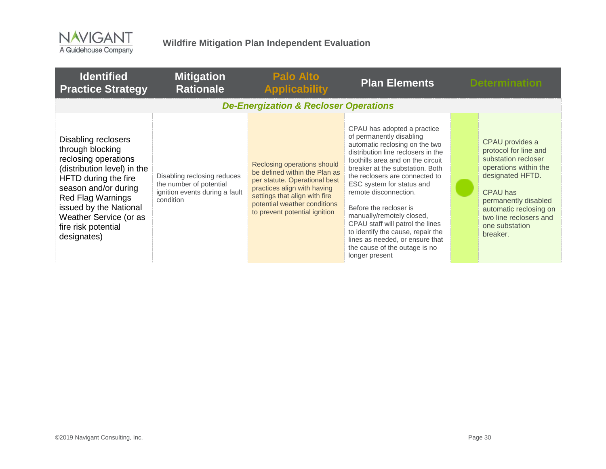

| <b>Identified</b><br><b>Practice Strategy</b>                                                                                                                                                                                                                        | <b>Mitigation</b><br><b>Rationale</b>                                                                 | <b>Palo Alto</b><br><b>Applicability</b>                                                                                                                                                                                       | <b>Plan Elements</b>                                                                                                                                                                                                                                                                                                                                                                                                                                                                                                  | <b>Determination</b>                                                                                                                                                                                                               |
|----------------------------------------------------------------------------------------------------------------------------------------------------------------------------------------------------------------------------------------------------------------------|-------------------------------------------------------------------------------------------------------|--------------------------------------------------------------------------------------------------------------------------------------------------------------------------------------------------------------------------------|-----------------------------------------------------------------------------------------------------------------------------------------------------------------------------------------------------------------------------------------------------------------------------------------------------------------------------------------------------------------------------------------------------------------------------------------------------------------------------------------------------------------------|------------------------------------------------------------------------------------------------------------------------------------------------------------------------------------------------------------------------------------|
|                                                                                                                                                                                                                                                                      |                                                                                                       | <b>De-Energization &amp; Recloser Operations</b>                                                                                                                                                                               |                                                                                                                                                                                                                                                                                                                                                                                                                                                                                                                       |                                                                                                                                                                                                                                    |
| Disabling reclosers<br>through blocking<br>reclosing operations<br>(distribution level) in the<br>HFTD during the fire<br>season and/or during<br><b>Red Flag Warnings</b><br>issued by the National<br>Weather Service (or as<br>fire risk potential<br>designates) | Disabling reclosing reduces<br>the number of potential<br>ignition events during a fault<br>condition | Reclosing operations should<br>be defined within the Plan as<br>per statute. Operational best<br>practices align with having<br>settings that align with fire<br>potential weather conditions<br>to prevent potential ignition | CPAU has adopted a practice<br>of permanently disabling<br>automatic reclosing on the two<br>distribution line reclosers in the<br>foothills area and on the circuit<br>breaker at the substation. Both<br>the reclosers are connected to<br>ESC system for status and<br>remote disconnection.<br>Before the recloser is<br>manually/remotely closed,<br>CPAU staff will patrol the lines<br>to identify the cause, repair the<br>lines as needed, or ensure that<br>the cause of the outage is no<br>longer present | CPAU provides a<br>protocol for line and<br>substation recloser<br>operations within the<br>designated HFTD.<br>CPAU has<br>permanently disabled<br>automatic reclosing on<br>two line reclosers and<br>one substation<br>breaker. |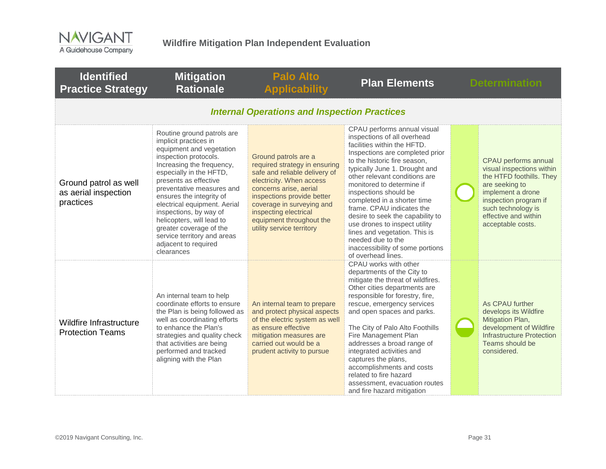

| <b>Identified</b><br><b>Practice Strategy</b>              | <b>Mitigation</b><br><b>Rationale</b>                                                                                                                                                                                                                                                                                                                                                                                                     | <b>Palo Alto</b><br><b>Applicability</b>                                                                                                                                                                                                                                                  | <b>Plan Elements</b>                                                                                                                                                                                                                                                                                                                                                                                                                                                                                                                  | <b>Determination</b>                                                                                                                                                                                             |
|------------------------------------------------------------|-------------------------------------------------------------------------------------------------------------------------------------------------------------------------------------------------------------------------------------------------------------------------------------------------------------------------------------------------------------------------------------------------------------------------------------------|-------------------------------------------------------------------------------------------------------------------------------------------------------------------------------------------------------------------------------------------------------------------------------------------|---------------------------------------------------------------------------------------------------------------------------------------------------------------------------------------------------------------------------------------------------------------------------------------------------------------------------------------------------------------------------------------------------------------------------------------------------------------------------------------------------------------------------------------|------------------------------------------------------------------------------------------------------------------------------------------------------------------------------------------------------------------|
|                                                            |                                                                                                                                                                                                                                                                                                                                                                                                                                           | <b>Internal Operations and Inspection Practices</b>                                                                                                                                                                                                                                       |                                                                                                                                                                                                                                                                                                                                                                                                                                                                                                                                       |                                                                                                                                                                                                                  |
| Ground patrol as well<br>as aerial inspection<br>practices | Routine ground patrols are<br>implicit practices in<br>equipment and vegetation<br>inspection protocols.<br>Increasing the frequency,<br>especially in the HFTD,<br>presents as effective<br>preventative measures and<br>ensures the integrity of<br>electrical equipment. Aerial<br>inspections, by way of<br>helicopters, will lead to<br>greater coverage of the<br>service territory and areas<br>adjacent to required<br>clearances | Ground patrols are a<br>required strategy in ensuring<br>safe and reliable delivery of<br>electricity. When access<br>concerns arise, aerial<br>inspections provide better<br>coverage in surveying and<br>inspecting electrical<br>equipment throughout the<br>utility service territory | CPAU performs annual visual<br>inspections of all overhead<br>facilities within the HFTD.<br>Inspections are completed prior<br>to the historic fire season,<br>typically June 1. Drought and<br>other relevant conditions are<br>monitored to determine if<br>inspections should be<br>completed in a shorter time<br>frame. CPAU indicates the<br>desire to seek the capability to<br>use drones to inspect utility<br>lines and vegetation. This is<br>needed due to the<br>inaccessibility of some portions<br>of overhead lines. | CPAU performs annual<br>visual inspections within<br>the HTFD foothills. They<br>are seeking to<br>implement a drone<br>inspection program if<br>such technology is<br>effective and within<br>acceptable costs. |
| Wildfire Infrastructure<br><b>Protection Teams</b>         | An internal team to help<br>coordinate efforts to ensure<br>the Plan is being followed as<br>well as coordinating efforts<br>to enhance the Plan's<br>strategies and quality check<br>that activities are being<br>performed and tracked<br>aligning with the Plan                                                                                                                                                                        | An internal team to prepare<br>and protect physical aspects<br>of the electric system as well<br>as ensure effective<br>mitigation measures are<br>carried out would be a<br>prudent activity to pursue                                                                                   | CPAU works with other<br>departments of the City to<br>mitigate the threat of wildfires.<br>Other cities departments are<br>responsible for forestry, fire,<br>rescue, emergency services<br>and open spaces and parks.<br>The City of Palo Alto Foothills<br>Fire Management Plan<br>addresses a broad range of<br>integrated activities and<br>captures the plans,<br>accomplishments and costs<br>related to fire hazard<br>assessment, evacuation routes<br>and fire hazard mitigation                                            | As CPAU further<br>develops its Wildfire<br>Mitigation Plan,<br>development of Wildfire<br>Infrastructure Protection<br>Teams should be<br>considered.                                                           |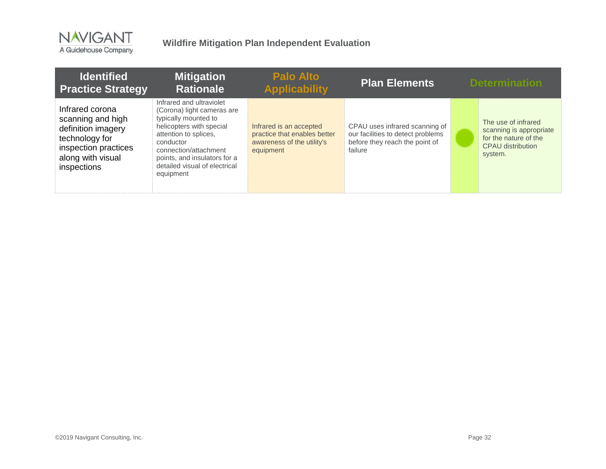

| <b>Identified</b><br><b>Practice Strategy</b>                                                                                            | <b>Mitigation</b><br><b>Rationale</b>                                                                                                                                                                                                                   | <b>Palo Alto</b><br><b>Applicability</b>                                                           | <b>Plan Elements</b>                                                                                             | <b>Determination</b>                                                                                           |
|------------------------------------------------------------------------------------------------------------------------------------------|---------------------------------------------------------------------------------------------------------------------------------------------------------------------------------------------------------------------------------------------------------|----------------------------------------------------------------------------------------------------|------------------------------------------------------------------------------------------------------------------|----------------------------------------------------------------------------------------------------------------|
| Infrared corona<br>scanning and high<br>definition imagery<br>technology for<br>inspection practices<br>along with visual<br>inspections | Infrared and ultraviolet<br>(Corona) light cameras are<br>typically mounted to<br>helicopters with special<br>attention to splices,<br>conductor<br>connection/attachment<br>points, and insulators for a<br>detailed visual of electrical<br>equipment | Infrared is an accepted<br>practice that enables better<br>awareness of the utility's<br>equipment | CPAU uses infrared scanning of<br>our facilities to detect problems<br>before they reach the point of<br>failure | The use of infrared<br>scanning is appropriate<br>for the nature of the<br><b>CPAU</b> distribution<br>system. |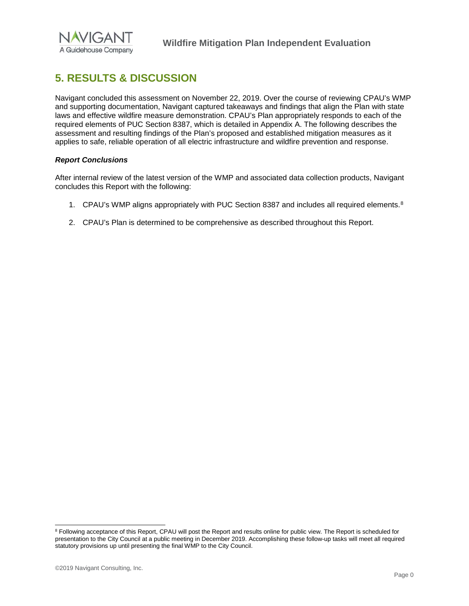

## <span id="page-33-0"></span>**5. RESULTS & DISCUSSION**

Navigant concluded this assessment on November 22, 2019. Over the course of reviewing CPAU's WMP and supporting documentation, Navigant captured takeaways and findings that align the Plan with state laws and effective wildfire measure demonstration. CPAU's Plan appropriately responds to each of the required elements of PUC Section 8387, which is detailed in Appendix A. The following describes the assessment and resulting findings of the Plan's proposed and established mitigation measures as it applies to safe, reliable operation of all electric infrastructure and wildfire prevention and response.

#### *Report Conclusions*

After internal review of the latest version of the WMP and associated data collection products, Navigant concludes this Report with the following:

- 1. CPAU's WMP aligns appropriately with PUC Section [8](#page-33-1)387 and includes all required elements.<sup>8</sup>
- 2. CPAU's Plan is determined to be comprehensive as described throughout this Report.

<span id="page-33-1"></span><sup>&</sup>lt;sup>8</sup> Following acceptance of this Report, CPAU will post the Report and results online for public view. The Report is scheduled for presentation to the City Council at a public meeting in December 2019. Accomplishing these follow-up tasks will meet all required statutory provisions up until presenting the final WMP to the City Council.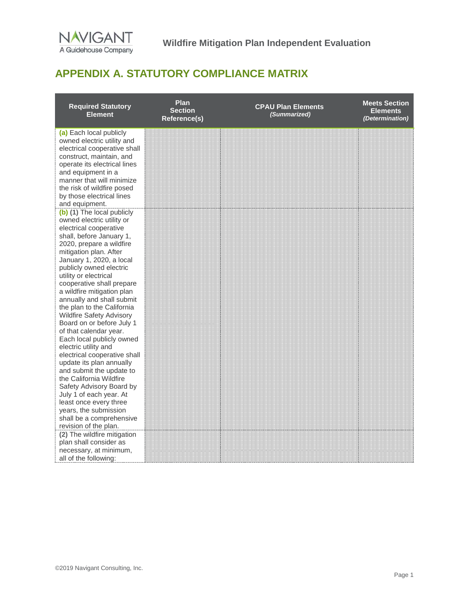

## <span id="page-34-0"></span>**APPENDIX A. STATUTORY COMPLIANCE MATRIX**

| <b>Required Statutory</b><br><b>Element</b>                                                                       | Plan<br><b>Section</b><br>Reference(s) | <b>CPAU Plan Elements</b><br>(Summarized) | <b>Meets Section</b><br><b>Elements</b><br>(Determination) |
|-------------------------------------------------------------------------------------------------------------------|----------------------------------------|-------------------------------------------|------------------------------------------------------------|
| (a) Each local publicly<br>owned electric utility and<br>electrical cooperative shall<br>construct, maintain, and |                                        |                                           |                                                            |
| operate its electrical lines<br>and equipment in a<br>manner that will minimize<br>the risk of wildfire posed     |                                        |                                           |                                                            |
| by those electrical lines<br>and equipment.                                                                       |                                        |                                           |                                                            |
| (b) (1) The local publicly<br>owned electric utility or<br>electrical cooperative<br>shall, before January 1,     |                                        |                                           |                                                            |
| 2020, prepare a wildfire<br>mitigation plan. After<br>January 1, 2020, a local                                    |                                        |                                           |                                                            |
| publicly owned electric<br>utility or electrical<br>cooperative shall prepare<br>a wildfire mitigation plan       |                                        |                                           |                                                            |
| annually and shall submit<br>the plan to the California<br><b>Wildfire Safety Advisory</b>                        |                                        |                                           |                                                            |
| Board on or before July 1<br>of that calendar year.<br>Each local publicly owned<br>electric utility and          |                                        |                                           |                                                            |
| electrical cooperative shall<br>update its plan annually<br>and submit the update to                              |                                        |                                           |                                                            |
| the California Wildfire<br>Safety Advisory Board by<br>July 1 of each year. At                                    |                                        |                                           |                                                            |
| least once every three<br>years, the submission<br>shall be a comprehensive<br>revision of the plan.              |                                        |                                           |                                                            |
| (2) The wildfire mitigation<br>plan shall consider as<br>necessary, at minimum,<br>all of the following:          |                                        |                                           |                                                            |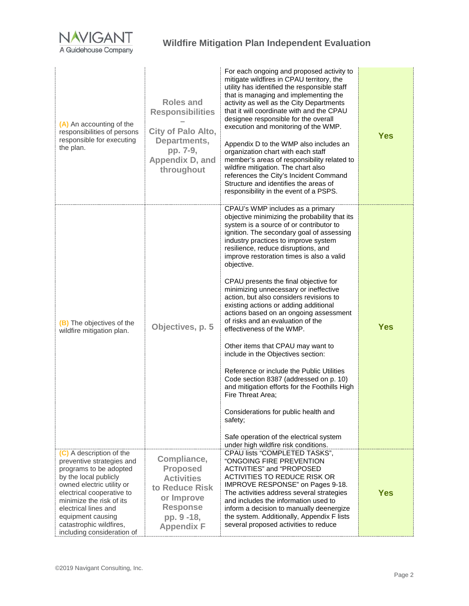

| (A) An accounting of the<br>responsibilities of persons<br>responsible for executing<br>the plan.                                                                                                                                                                                                    | Roles and<br><b>Responsibilities</b><br><b>City of Palo Alto,</b><br>Departments,<br>pp. 7-9,<br>Appendix D, and<br>throughout            | For each ongoing and proposed activity to<br>mitigate wildfires in CPAU territory, the<br>utility has identified the responsible staff<br>that is managing and implementing the<br>activity as well as the City Departments<br>that it will coordinate with and the CPAU<br>designee responsible for the overall<br>execution and monitoring of the WMP.<br>Appendix D to the WMP also includes an<br>organization chart with each staff<br>member's areas of responsibility related to<br>wildfire mitigation. The chart also<br>references the City's Incident Command<br>Structure and identifies the areas of<br>responsibility in the event of a PSPS.                                                                                                                                                                                                                                                                                                                         | <b>Yes</b> |
|------------------------------------------------------------------------------------------------------------------------------------------------------------------------------------------------------------------------------------------------------------------------------------------------------|-------------------------------------------------------------------------------------------------------------------------------------------|-------------------------------------------------------------------------------------------------------------------------------------------------------------------------------------------------------------------------------------------------------------------------------------------------------------------------------------------------------------------------------------------------------------------------------------------------------------------------------------------------------------------------------------------------------------------------------------------------------------------------------------------------------------------------------------------------------------------------------------------------------------------------------------------------------------------------------------------------------------------------------------------------------------------------------------------------------------------------------------|------------|
| (B) The objectives of the<br>wildfire mitigation plan.                                                                                                                                                                                                                                               | Objectives, p. 5                                                                                                                          | CPAU's WMP includes as a primary<br>objective minimizing the probability that its<br>system is a source of or contributor to<br>ignition. The secondary goal of assessing<br>industry practices to improve system<br>resilience, reduce disruptions, and<br>improve restoration times is also a valid<br>objective.<br>CPAU presents the final objective for<br>minimizing unnecessary or ineffective<br>action, but also considers revisions to<br>existing actions or adding additional<br>actions based on an ongoing assessment<br>of risks and an evaluation of the<br>effectiveness of the WMP.<br>Other items that CPAU may want to<br>include in the Objectives section:<br>Reference or include the Public Utilities<br>Code section 8387 (addressed on p. 10)<br>and mitigation efforts for the Foothills High<br>Fire Threat Area:<br>Considerations for public health and<br>safety;<br>Safe operation of the electrical system<br>under high wildfire risk conditions. | <b>Yes</b> |
| (C) A description of the<br>preventive strategies and<br>programs to be adopted<br>by the local publicly<br>owned electric utility or<br>electrical cooperative to<br>minimize the risk of its<br>electrical lines and<br>equipment causing<br>catastrophic wildfires,<br>including consideration of | Compliance,<br><b>Proposed</b><br><b>Activities</b><br>to Reduce Risk<br>or Improve<br><b>Response</b><br>pp. 9 -18,<br><b>Appendix F</b> | CPAU lists "COMPLETED TASKS",<br>"ONGOING FIRE PREVENTION<br>ACTIVITIES" and "PROPOSED<br><b>ACTIVITIES TO REDUCE RISK OR</b><br>IMPROVE RESPONSE" on Pages 9-18.<br>The activities address several strategies<br>and includes the information used to<br>inform a decision to manually deenergize<br>the system. Additionally, Appendix F lists<br>several proposed activities to reduce                                                                                                                                                                                                                                                                                                                                                                                                                                                                                                                                                                                           | <b>Yes</b> |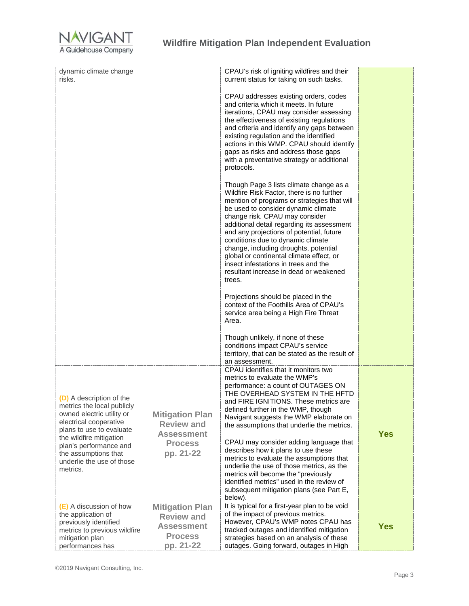

| dynamic climate change<br>risks.                                                                                                                                                                                                                                |                                                                                                 | CPAU's risk of igniting wildfires and their<br>current status for taking on such tasks.                                                                                                                                                                                                                                                                                                                                                                                                                                      |            |
|-----------------------------------------------------------------------------------------------------------------------------------------------------------------------------------------------------------------------------------------------------------------|-------------------------------------------------------------------------------------------------|------------------------------------------------------------------------------------------------------------------------------------------------------------------------------------------------------------------------------------------------------------------------------------------------------------------------------------------------------------------------------------------------------------------------------------------------------------------------------------------------------------------------------|------------|
|                                                                                                                                                                                                                                                                 |                                                                                                 | CPAU addresses existing orders, codes<br>and criteria which it meets. In future<br>iterations, CPAU may consider assessing<br>the effectiveness of existing regulations<br>and criteria and identify any gaps between<br>existing regulation and the identified<br>actions in this WMP. CPAU should identify<br>gaps as risks and address those gaps<br>with a preventative strategy or additional<br>protocols.                                                                                                             |            |
|                                                                                                                                                                                                                                                                 |                                                                                                 | Though Page 3 lists climate change as a<br>Wildfire Risk Factor, there is no further<br>mention of programs or strategies that will<br>be used to consider dynamic climate<br>change risk. CPAU may consider<br>additional detail regarding its assessment<br>and any projections of potential, future<br>conditions due to dynamic climate<br>change, including droughts, potential<br>global or continental climate effect, or<br>insect infestations in trees and the<br>resultant increase in dead or weakened<br>trees. |            |
|                                                                                                                                                                                                                                                                 |                                                                                                 | Projections should be placed in the<br>context of the Foothills Area of CPAU's<br>service area being a High Fire Threat<br>Area.                                                                                                                                                                                                                                                                                                                                                                                             |            |
|                                                                                                                                                                                                                                                                 |                                                                                                 | Though unlikely, if none of these<br>conditions impact CPAU's service<br>territory, that can be stated as the result of<br>an assessment.                                                                                                                                                                                                                                                                                                                                                                                    |            |
| (D) A description of the<br>metrics the local publicly<br>owned electric utility or<br>electrical cooperative<br>plans to use to evaluate<br>the wildfire mitigation<br>plan's performance and<br>the assumptions that<br>underlie the use of those<br>metrics. | <b>Mitigation Plan</b><br><b>Review and</b><br><b>Assessment</b><br><b>Process</b><br>pp. 21-22 | CPAU identifies that it monitors two<br>metrics to evaluate the WMP's<br>performance: a count of OUTAGES ON<br>THE OVERHEAD SYSTEM IN THE HFTD<br>and FIRE IGNITIONS. These metrics are<br>defined further in the WMP, though<br>Navigant suggests the WMP elaborate on<br>the assumptions that underlie the metrics.<br>CPAU may consider adding language that<br>describes how it plans to use these<br>metrics to evaluate the assumptions that<br>underlie the use of those metrics, as the                              | <b>Yes</b> |
|                                                                                                                                                                                                                                                                 |                                                                                                 | metrics will become the "previously<br>identified metrics" used in the review of<br>subsequent mitigation plans (see Part E,<br>below).                                                                                                                                                                                                                                                                                                                                                                                      |            |
| (E) A discussion of how<br>the application of<br>previously identified<br>metrics to previous wildfire<br>mitigation plan<br>performances has                                                                                                                   | <b>Mitigation Plan</b><br><b>Review and</b><br><b>Assessment</b><br><b>Process</b><br>pp. 21-22 | It is typical for a first-year plan to be void<br>of the impact of previous metrics.<br>However, CPAU's WMP notes CPAU has<br>tracked outages and identified mitigation<br>strategies based on an analysis of these<br>outages. Going forward, outages in High                                                                                                                                                                                                                                                               | <b>Yes</b> |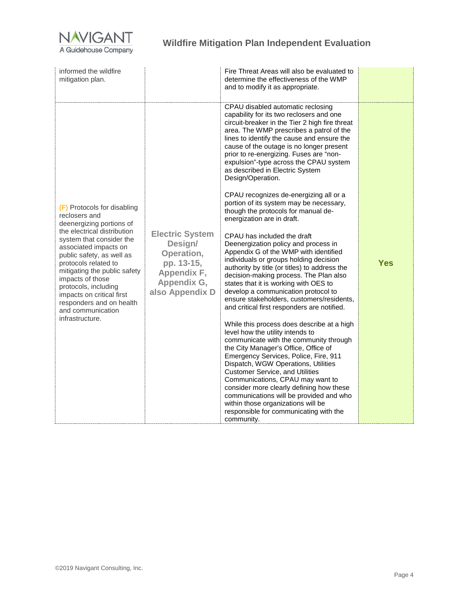

| and to modify it as appropriate.                                                                                                                                                                                                                                                                                                                                                                                                                                                                                                                                                                                                                                                                                                                                                                                                                                                                                                                                                                                                                                                                                                                                                                                                                                                                                                                                                                                                                                                                                                                                                                                                                                                                                                                                                                                                                                                                                                                                                                                                                                       | informed the wildfire<br>mitigation plan. |
|------------------------------------------------------------------------------------------------------------------------------------------------------------------------------------------------------------------------------------------------------------------------------------------------------------------------------------------------------------------------------------------------------------------------------------------------------------------------------------------------------------------------------------------------------------------------------------------------------------------------------------------------------------------------------------------------------------------------------------------------------------------------------------------------------------------------------------------------------------------------------------------------------------------------------------------------------------------------------------------------------------------------------------------------------------------------------------------------------------------------------------------------------------------------------------------------------------------------------------------------------------------------------------------------------------------------------------------------------------------------------------------------------------------------------------------------------------------------------------------------------------------------------------------------------------------------------------------------------------------------------------------------------------------------------------------------------------------------------------------------------------------------------------------------------------------------------------------------------------------------------------------------------------------------------------------------------------------------------------------------------------------------------------------------------------------------|-------------------------------------------|
| CPAU disabled automatic reclosing<br>capability for its two reclosers and one<br>circuit-breaker in the Tier 2 high fire threat<br>area. The WMP prescribes a patrol of the<br>lines to identify the cause and ensure the<br>cause of the outage is no longer present<br>prior to re-energizing. Fuses are "non-<br>expulsion"-type across the CPAU system<br>as described in Electric System<br>Design/Operation.<br>CPAU recognizes de-energizing all or a<br>portion of its system may be necessary,<br>(F) Protocols for disabling<br>though the protocols for manual de-<br>reclosers and<br>energization are in draft.<br>deenergizing portions of<br>the electrical distribution<br><b>Electric System</b><br>CPAU has included the draft<br>system that consider the<br>Design/<br>Deenergization policy and process in<br>associated impacts on<br>Appendix G of the WMP with identified<br>Operation,<br>public safety, as well as<br>individuals or groups holding decision<br><b>Yes</b><br>pp. 13-15,<br>protocols related to<br>authority by title (or titles) to address the<br>mitigating the public safety<br>Appendix F,<br>decision-making process. The Plan also<br>impacts of those<br>Appendix G,<br>states that it is working with OES to<br>protocols, including<br>also Appendix D<br>develop a communication protocol to<br>impacts on critical first<br>ensure stakeholders, customers/residents,<br>responders and on health<br>and critical first responders are notified.<br>and communication<br>infrastructure.<br>While this process does describe at a high<br>level how the utility intends to<br>communicate with the community through<br>the City Manager's Office, Office of<br>Emergency Services, Police, Fire, 911<br>Dispatch, WGW Operations, Utilities<br><b>Customer Service, and Utilities</b><br>Communications, CPAU may want to<br>consider more clearly defining how these<br>communications will be provided and who<br>within those organizations will be<br>responsible for communicating with the<br>community. |                                           |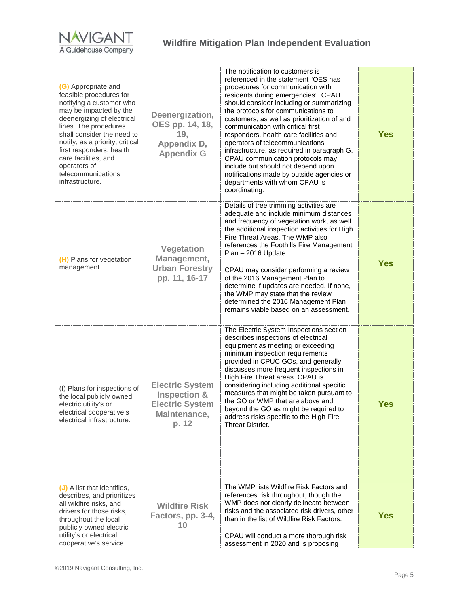

| (G) Appropriate and<br>feasible procedures for<br>notifying a customer who<br>may be impacted by the<br>deenergizing of electrical<br>lines. The procedures<br>shall consider the need to<br>notify, as a priority, critical<br>first responders, health<br>care facilities, and<br>operators of<br>telecommunications<br>infrastructure. | Deenergization,<br>OES pp. 14, 18,<br>19,<br>Appendix D,<br><b>Appendix G</b>                        | The notification to customers is<br>referenced in the statement "OES has<br>procedures for communication with<br>residents during emergencies". CPAU<br>should consider including or summarizing<br>the protocols for communications to<br>customers, as well as prioritization of and<br>communication with critical first<br>responders, health care facilities and<br>operators of telecommunications<br>infrastructure, as required in paragraph G.<br>CPAU communication protocols may<br>include but should not depend upon<br>notifications made by outside agencies or<br>departments with whom CPAU is<br>coordinating. | <b>Yes</b> |
|-------------------------------------------------------------------------------------------------------------------------------------------------------------------------------------------------------------------------------------------------------------------------------------------------------------------------------------------|------------------------------------------------------------------------------------------------------|----------------------------------------------------------------------------------------------------------------------------------------------------------------------------------------------------------------------------------------------------------------------------------------------------------------------------------------------------------------------------------------------------------------------------------------------------------------------------------------------------------------------------------------------------------------------------------------------------------------------------------|------------|
| (H) Plans for vegetation<br>management.                                                                                                                                                                                                                                                                                                   | <b>Vegetation</b><br>Management,<br><b>Urban Forestry</b><br>pp. 11, 16-17                           | Details of tree trimming activities are<br>adequate and include minimum distances<br>and frequency of vegetation work, as well<br>the additional inspection activities for High<br>Fire Threat Areas. The WMP also<br>references the Foothills Fire Management<br>Plan - 2016 Update.<br>CPAU may consider performing a review<br>of the 2016 Management Plan to<br>determine if updates are needed. If none,<br>the WMP may state that the review<br>determined the 2016 Management Plan<br>remains viable based on an assessment.                                                                                              | <b>Yes</b> |
| (I) Plans for inspections of<br>the local publicly owned<br>electric utility's or<br>electrical cooperative's<br>electrical infrastructure.                                                                                                                                                                                               | <b>Electric System</b><br><b>Inspection &amp;</b><br><b>Electric System</b><br>Maintenance,<br>p. 12 | The Electric System Inspections section<br>describes inspections of electrical<br>equipment as meeting or exceeding<br>minimum inspection requirements<br>provided in CPUC GOs, and generally<br>discusses more frequent inspections in<br>High Fire Threat areas. CPAU is<br>considering including additional specific<br>measures that might be taken pursuant to<br>the GO or WMP that are above and<br>beyond the GO as might be required to<br>address risks specific to the High Fire<br><b>Threat District.</b>                                                                                                           | <b>Yes</b> |
| (J) A list that identifies,<br>describes, and prioritizes<br>all wildfire risks, and<br>drivers for those risks,<br>throughout the local<br>publicly owned electric<br>utility's or electrical<br>cooperative's service                                                                                                                   | <b>Wildfire Risk</b><br>Factors, pp. 3-4,<br>10                                                      | The WMP lists Wildfire Risk Factors and<br>references risk throughout, though the<br>WMP does not clearly delineate between<br>risks and the associated risk drivers, other<br>than in the list of Wildfire Risk Factors.<br>CPAU will conduct a more thorough risk<br>assessment in 2020 and is proposing                                                                                                                                                                                                                                                                                                                       | <b>Yes</b> |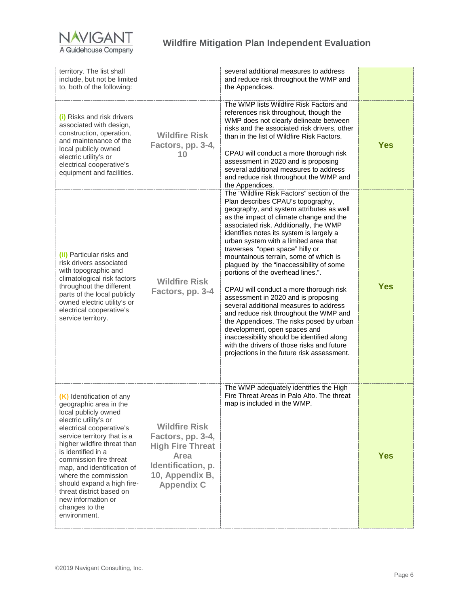

| territory. The list shall<br>include, but not be limited<br>to, both of the following:                                                                                                                                                                                                                                                                                                                                 |                                                                                                                                            | several additional measures to address<br>and reduce risk throughout the WMP and<br>the Appendices.                                                                                                                                                                                                                                                                                                                                                                                                                                                                                                                                                                                                                                                                                                                                                          |            |
|------------------------------------------------------------------------------------------------------------------------------------------------------------------------------------------------------------------------------------------------------------------------------------------------------------------------------------------------------------------------------------------------------------------------|--------------------------------------------------------------------------------------------------------------------------------------------|--------------------------------------------------------------------------------------------------------------------------------------------------------------------------------------------------------------------------------------------------------------------------------------------------------------------------------------------------------------------------------------------------------------------------------------------------------------------------------------------------------------------------------------------------------------------------------------------------------------------------------------------------------------------------------------------------------------------------------------------------------------------------------------------------------------------------------------------------------------|------------|
| (i) Risks and risk drivers<br>associated with design,<br>construction, operation,<br>and maintenance of the<br>local publicly owned<br>electric utility's or<br>electrical cooperative's<br>equipment and facilities.                                                                                                                                                                                                  | <b>Wildfire Risk</b><br>Factors, pp. 3-4,<br>10                                                                                            | The WMP lists Wildfire Risk Factors and<br>references risk throughout, though the<br>WMP does not clearly delineate between<br>risks and the associated risk drivers, other<br>than in the list of Wildfire Risk Factors.<br>CPAU will conduct a more thorough risk<br>assessment in 2020 and is proposing<br>several additional measures to address<br>and reduce risk throughout the WMP and<br>the Appendices.                                                                                                                                                                                                                                                                                                                                                                                                                                            | <b>Yes</b> |
| (ii) Particular risks and<br>risk drivers associated<br>with topographic and<br>climatological risk factors<br>throughout the different<br>parts of the local publicly<br>owned electric utility's or<br>electrical cooperative's<br>service territory.                                                                                                                                                                | <b>Wildfire Risk</b><br>Factors, pp. 3-4                                                                                                   | The "Wildfire Risk Factors" section of the<br>Plan describes CPAU's topography,<br>geography, and system attributes as well<br>as the impact of climate change and the<br>associated risk. Additionally, the WMP<br>identifies notes its system is largely a<br>urban system with a limited area that<br>traverses "open space" hilly or<br>mountainous terrain, some of which is<br>plagued by the "inaccessibility of some<br>portions of the overhead lines.".<br>CPAU will conduct a more thorough risk<br>assessment in 2020 and is proposing<br>several additional measures to address<br>and reduce risk throughout the WMP and<br>the Appendices. The risks posed by urban<br>development, open spaces and<br>inaccessibility should be identified along<br>with the drivers of those risks and future<br>projections in the future risk assessment. | <b>Yes</b> |
| (K) Identification of any<br>geographic area in the<br>local publicly owned<br>electric utility's or<br>electrical cooperative's<br>service territory that is a<br>higher wildfire threat than<br>is identified in a<br>commission fire threat<br>map, and identification of<br>where the commission<br>should expand a high fire-<br>threat district based on<br>new information or<br>changes to the<br>environment. | <b>Wildfire Risk</b><br>Factors, pp. 3-4,<br><b>High Fire Threat</b><br>Area<br>Identification, p.<br>10, Appendix B,<br><b>Appendix C</b> | The WMP adequately identifies the High<br>Fire Threat Areas in Palo Alto. The threat<br>map is included in the WMP.                                                                                                                                                                                                                                                                                                                                                                                                                                                                                                                                                                                                                                                                                                                                          | <b>Yes</b> |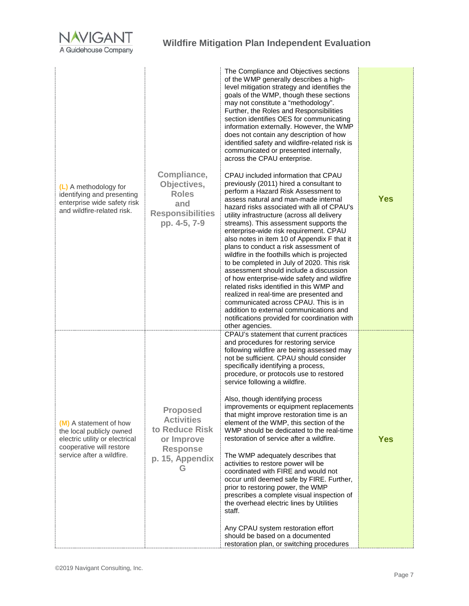

| (L) A methodology for<br>identifying and presenting<br>enterprise wide safety risk<br>and wildfire-related risk.                              | Compliance,<br>Objectives,<br><b>Roles</b><br>and<br><b>Responsibilities</b><br>pp. 4-5, 7-9                    | The Compliance and Objectives sections<br>of the WMP generally describes a high-<br>level mitigation strategy and identifies the<br>goals of the WMP, though these sections<br>may not constitute a "methodology".<br>Further, the Roles and Responsibilities<br>section identifies OES for communicating<br>information externally. However, the WMP<br>does not contain any description of how<br>identified safety and wildfire-related risk is<br>communicated or presented internally,<br>across the CPAU enterprise.<br>CPAU included information that CPAU<br>previously (2011) hired a consultant to<br>perform a Hazard Risk Assessment to<br>assess natural and man-made internal<br>hazard risks associated with all of CPAU's<br>utility infrastructure (across all delivery<br>streams). This assessment supports the<br>enterprise-wide risk requirement. CPAU<br>also notes in item 10 of Appendix F that it<br>plans to conduct a risk assessment of<br>wildfire in the foothills which is projected<br>to be completed in July of 2020. This risk<br>assessment should include a discussion<br>of how enterprise-wide safety and wildfire<br>related risks identified in this WMP and<br>realized in real-time are presented and<br>communicated across CPAU. This is in<br>addition to external communications and<br>notifications provided for coordination with<br>other agencies. | <b>Yes</b> |
|-----------------------------------------------------------------------------------------------------------------------------------------------|-----------------------------------------------------------------------------------------------------------------|---------------------------------------------------------------------------------------------------------------------------------------------------------------------------------------------------------------------------------------------------------------------------------------------------------------------------------------------------------------------------------------------------------------------------------------------------------------------------------------------------------------------------------------------------------------------------------------------------------------------------------------------------------------------------------------------------------------------------------------------------------------------------------------------------------------------------------------------------------------------------------------------------------------------------------------------------------------------------------------------------------------------------------------------------------------------------------------------------------------------------------------------------------------------------------------------------------------------------------------------------------------------------------------------------------------------------------------------------------------------------------------------------------|------------|
| (M) A statement of how<br>the local publicly owned<br>electric utility or electrical<br>cooperative will restore<br>service after a wildfire. | <b>Proposed</b><br><b>Activities</b><br>to Reduce Risk<br>or Improve<br><b>Response</b><br>p. 15, Appendix<br>G | CPAU's statement that current practices<br>and procedures for restoring service<br>following wildfire are being assessed may<br>not be sufficient. CPAU should consider<br>specifically identifying a process,<br>procedure, or protocols use to restored<br>service following a wildfire.<br>Also, though identifying process<br>improvements or equipment replacements<br>that might improve restoration time is an<br>element of the WMP, this section of the<br>WMP should be dedicated to the real-time<br>restoration of service after a wildfire.<br>The WMP adequately describes that<br>activities to restore power will be<br>coordinated with FIRE and would not<br>occur until deemed safe by FIRE. Further,<br>prior to restoring power, the WMP<br>prescribes a complete visual inspection of<br>the overhead electric lines by Utilities<br>staff.<br>Any CPAU system restoration effort<br>should be based on a documented<br>restoration plan, or switching procedures                                                                                                                                                                                                                                                                                                                                                                                                                 | <b>Yes</b> |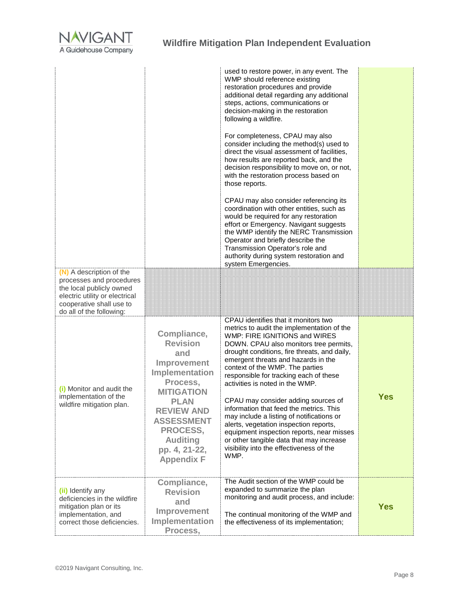

|                                                                                                                                                                            |                                                                                                                                                                                                                                              | used to restore power, in any event. The<br>WMP should reference existing<br>restoration procedures and provide<br>additional detail regarding any additional<br>steps, actions, communications or<br>decision-making in the restoration<br>following a wildfire.<br>For completeness, CPAU may also<br>consider including the method(s) used to<br>direct the visual assessment of facilities.<br>how results are reported back, and the<br>decision responsibility to move on, or not,<br>with the restoration process based on<br>those reports.<br>CPAU may also consider referencing its<br>coordination with other entities, such as<br>would be required for any restoration<br>effort or Emergency. Navigant suggests<br>the WMP identify the NERC Transmission<br>Operator and briefly describe the<br>Transmission Operator's role and<br>authority during system restoration and<br>system Emergencies. |            |
|----------------------------------------------------------------------------------------------------------------------------------------------------------------------------|----------------------------------------------------------------------------------------------------------------------------------------------------------------------------------------------------------------------------------------------|--------------------------------------------------------------------------------------------------------------------------------------------------------------------------------------------------------------------------------------------------------------------------------------------------------------------------------------------------------------------------------------------------------------------------------------------------------------------------------------------------------------------------------------------------------------------------------------------------------------------------------------------------------------------------------------------------------------------------------------------------------------------------------------------------------------------------------------------------------------------------------------------------------------------|------------|
| (N) A description of the<br>processes and procedures<br>the local publicly owned<br>electric utility or electrical<br>cooperative shall use to<br>do all of the following: |                                                                                                                                                                                                                                              |                                                                                                                                                                                                                                                                                                                                                                                                                                                                                                                                                                                                                                                                                                                                                                                                                                                                                                                    |            |
| (i) Monitor and audit the<br>implementation of the<br>wildfire mitigation plan.                                                                                            | Compliance,<br><b>Revision</b><br>and<br>Improvement<br>Implementation<br>Process,<br><b>MITIGATION</b><br><b>PLAN</b><br><b>REVIEW AND</b><br><b>ASSESSMENT</b><br><b>PROCESS,</b><br><b>Auditing</b><br>pp. 4, 21-22,<br><b>Appendix F</b> | CPAU identifies that it monitors two<br>metrics to audit the implementation of the<br>WMP: FIRE IGNITIONS and WIRES<br>DOWN. CPAU also monitors tree permits,<br>drought conditions, fire threats, and daily,<br>emergent threats and hazards in the<br>context of the WMP. The parties<br>responsible for tracking each of these<br>activities is noted in the WMP.<br>CPAU may consider adding sources of<br>information that feed the metrics. This<br>may include a listing of notifications or<br>alerts, vegetation inspection reports,<br>equipment inspection reports, near misses<br>or other tangible data that may increase<br>visibility into the effectiveness of the<br>WMP.                                                                                                                                                                                                                         | <b>Yes</b> |
| (ii) Identify any<br>deficiencies in the wildfire<br>mitigation plan or its<br>implementation, and<br>correct those deficiencies.                                          | Compliance,<br><b>Revision</b><br>and<br>Improvement<br>Implementation<br>Process,                                                                                                                                                           | The Audit section of the WMP could be<br>expanded to summarize the plan<br>monitoring and audit process, and include:<br>The continual monitoring of the WMP and<br>the effectiveness of its implementation;                                                                                                                                                                                                                                                                                                                                                                                                                                                                                                                                                                                                                                                                                                       | <b>Yes</b> |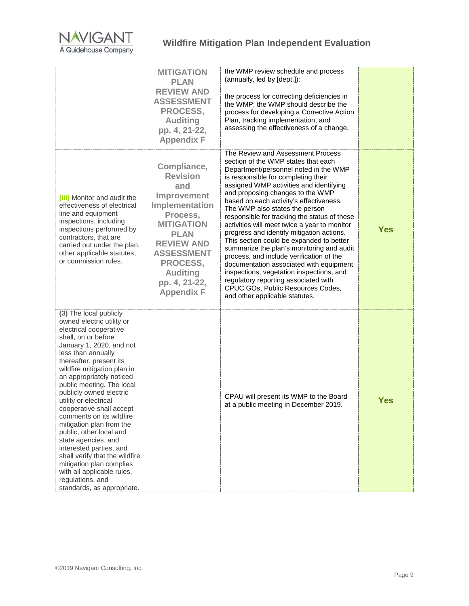

|                                                                                                                                                                                                                                                                                                                                                                                                                                                                                                                                                                                                                                              | <b>MITIGATION</b><br><b>PLAN</b><br><b>REVIEW AND</b><br><b>ASSESSMENT</b><br><b>PROCESS,</b><br><b>Auditing</b><br>pp. 4, 21-22,<br><b>Appendix F</b>                                                                                       | the WMP review schedule and process<br>(annually, led by [dept.]);<br>the process for correcting deficiencies in<br>the WMP; the WMP should describe the<br>process for developing a Corrective Action<br>Plan, tracking implementation, and<br>assessing the effectiveness of a change.                                                                                                                                                                                                                                                                                                                                                                                                                                                                                                                     |            |
|----------------------------------------------------------------------------------------------------------------------------------------------------------------------------------------------------------------------------------------------------------------------------------------------------------------------------------------------------------------------------------------------------------------------------------------------------------------------------------------------------------------------------------------------------------------------------------------------------------------------------------------------|----------------------------------------------------------------------------------------------------------------------------------------------------------------------------------------------------------------------------------------------|--------------------------------------------------------------------------------------------------------------------------------------------------------------------------------------------------------------------------------------------------------------------------------------------------------------------------------------------------------------------------------------------------------------------------------------------------------------------------------------------------------------------------------------------------------------------------------------------------------------------------------------------------------------------------------------------------------------------------------------------------------------------------------------------------------------|------------|
| (iii) Monitor and audit the<br>effectiveness of electrical<br>line and equipment<br>inspections, including<br>inspections performed by<br>contractors, that are<br>carried out under the plan,<br>other applicable statutes,<br>or commission rules.                                                                                                                                                                                                                                                                                                                                                                                         | Compliance,<br><b>Revision</b><br>and<br>Improvement<br>Implementation<br>Process,<br><b>MITIGATION</b><br><b>PLAN</b><br><b>REVIEW AND</b><br><b>ASSESSMENT</b><br><b>PROCESS,</b><br><b>Auditing</b><br>pp. 4, 21-22,<br><b>Appendix F</b> | The Review and Assessment Process<br>section of the WMP states that each<br>Department/personnel noted in the WMP<br>is responsible for completing their<br>assigned WMP activities and identifying<br>and proposing changes to the WMP<br>based on each activity's effectiveness.<br>The WMP also states the person<br>responsible for tracking the status of these<br>activities will meet twice a year to monitor<br>progress and identify mitigation actions.<br>This section could be expanded to better<br>summarize the plan's monitoring and audit<br>process, and include verification of the<br>documentation associated with equipment<br>inspections, vegetation inspections, and<br>regulatory reporting associated with<br>CPUC GOs, Public Resources Codes,<br>and other applicable statutes. | <b>Yes</b> |
| (3) The local publicly<br>owned electric utility or<br>electrical cooperative<br>shall, on or before<br>January 1, 2020, and not<br>less than annually<br>thereafter, present its<br>wildfire mitigation plan in<br>an appropriately noticed<br>public meeting. The local<br>publicly owned electric<br>utility or electrical<br>cooperative shall accept<br>comments on its wildfire<br>mitigation plan from the<br>public, other local and<br>state agencies, and<br>interested parties, and<br>shall verify that the wildfire<br>mitigation plan complies<br>with all applicable rules,<br>regulations, and<br>standards, as appropriate. |                                                                                                                                                                                                                                              | CPAU will present its WMP to the Board<br>at a public meeting in December 2019.                                                                                                                                                                                                                                                                                                                                                                                                                                                                                                                                                                                                                                                                                                                              | <b>Yes</b> |